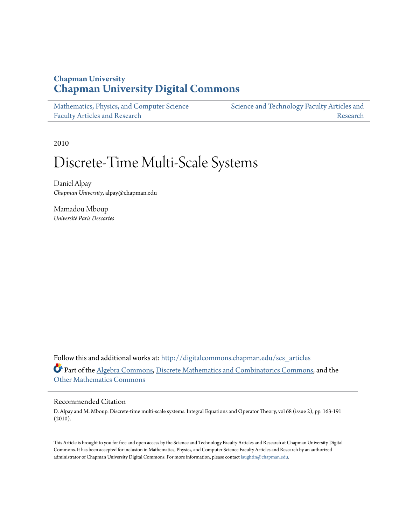# **Chapman University [Chapman University Digital Commons](http://digitalcommons.chapman.edu?utm_source=digitalcommons.chapman.edu%2Fscs_articles%2F426&utm_medium=PDF&utm_campaign=PDFCoverPages)**

| Mathematics, Physics, and Computer Science | Science and Technology Faculty Articles and |
|--------------------------------------------|---------------------------------------------|
| <b>Faculty Articles and Research</b>       | Research                                    |

2010

# Discrete-Time Multi-Scale Systems

Daniel Alpay *Chapman University*, alpay@chapman.edu

Mamadou Mboup *Université Paris Descartes*

Follow this and additional works at: [http://digitalcommons.chapman.edu/scs\\_articles](http://digitalcommons.chapman.edu/scs_articles?utm_source=digitalcommons.chapman.edu%2Fscs_articles%2F426&utm_medium=PDF&utm_campaign=PDFCoverPages) Part of the [Algebra Commons,](http://network.bepress.com/hgg/discipline/175?utm_source=digitalcommons.chapman.edu%2Fscs_articles%2F426&utm_medium=PDF&utm_campaign=PDFCoverPages) [Discrete Mathematics and Combinatorics Commons](http://network.bepress.com/hgg/discipline/178?utm_source=digitalcommons.chapman.edu%2Fscs_articles%2F426&utm_medium=PDF&utm_campaign=PDFCoverPages), and the [Other Mathematics Commons](http://network.bepress.com/hgg/discipline/185?utm_source=digitalcommons.chapman.edu%2Fscs_articles%2F426&utm_medium=PDF&utm_campaign=PDFCoverPages)

# Recommended Citation

D. Alpay and M. Mboup. Discrete-time multi-scale systems. Integral Equations and Operator Theory, vol 68 (issue 2), pp. 163-191 (2010).

This Article is brought to you for free and open access by the Science and Technology Faculty Articles and Research at Chapman University Digital Commons. It has been accepted for inclusion in Mathematics, Physics, and Computer Science Faculty Articles and Research by an authorized administrator of Chapman University Digital Commons. For more information, please contact [laughtin@chapman.edu.](mailto:laughtin@chapman.edu)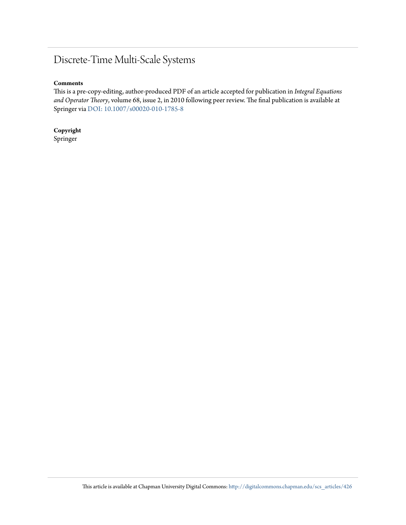# Discrete-Time Multi-Scale Systems

# **Comments**

This is a pre-copy-editing, author-produced PDF of an article accepted for publication in *Integral Equations and Operator Theory*, volume 68, issue 2, in 2010 following peer review. The final publication is available at Springer via [DOI: 10.1007/s00020-010-1785-8](http://dx.doi.org/10.1007/s00020-010-1785-8)

**Copyright** Springer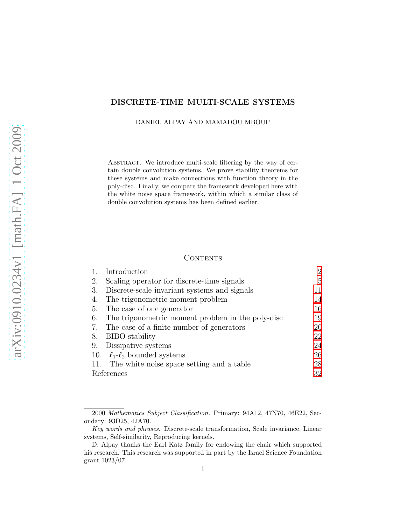# DISCRETE-TIME MULTI-SCALE SYSTEMS

DANIEL ALPAY AND MAMADOU MBOUP

ABSTRACT. We introduce multi-scale filtering by the way of certain double convolution systems. We prove stability theorems for these systems and make connections with function theory in the poly-disc. Finally, we compare the framework developed here with the white noise space framework, within which a similar class of double convolution systems has been defined earlier.

## **CONTENTS**

|            | Introduction                                      | 2  |
|------------|---------------------------------------------------|----|
| 2.         | Scaling operator for discrete-time signals        | 5  |
| 3.         | Discrete-scale invariant systems and signals      | 11 |
| 4.         | The trigonometric moment problem                  | 14 |
| 5.         | The case of one generator                         | 16 |
| 6.         | The trigonometric moment problem in the poly-disc | 19 |
| 7.         | The case of a finite number of generators         | 20 |
| 8.         | BIBO stability                                    | 22 |
|            | 9. Dissipative systems                            | 24 |
|            | 10. $\ell_1$ - $\ell_2$ bounded systems           | 26 |
|            | 11. The white noise space setting and a table     | 28 |
| References |                                                   | 32 |

<sup>2000</sup> Mathematics Subject Classification. Primary: 94A12, 47N70, 46E22, Secondary: 93D25, 42A70.

Key words and phrases. Discrete-scale transformation, Scale invariance, Linear systems, Self-similarity, Reproducing kernels.

D. Alpay thanks the Earl Katz family for endowing the chair which supported his research. This research was supported in part by the Israel Science Foundation grant 1023/07.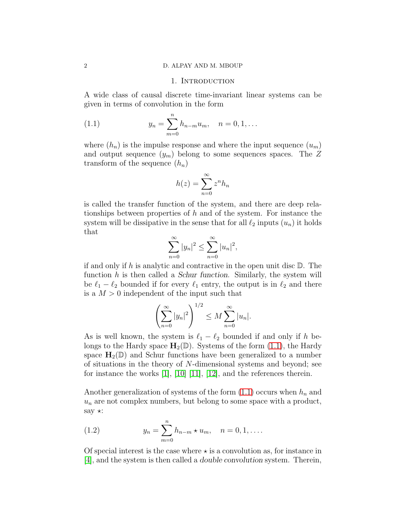#### <span id="page-3-0"></span>2 D. ALPAY AND M. MBOUP

#### <span id="page-3-1"></span>1. INTRODUCTION

A wide class of causal discrete time-invariant linear systems can be given in terms of convolution in the form

(1.1) 
$$
y_n = \sum_{m=0}^n h_{n-m} u_m, \quad n = 0, 1, ...
$$

where  $(h_n)$  is the impulse response and where the input sequence  $(u_m)$ and output sequence  $(y_m)$  belong to some sequences spaces. The Z transform of the sequence  $(h_n)$ 

$$
h(z) = \sum_{n=0}^{\infty} z^n h_n
$$

is called the transfer function of the system, and there are deep relationships between properties of  $h$  and of the system. For instance the system will be dissipative in the sense that for all  $\ell_2$  inputs  $(u_n)$  it holds that

$$
\sum_{n=0}^{\infty} |y_n|^2 \le \sum_{n=0}^{\infty} |u_n|^2,
$$

if and only if h is analytic and contractive in the open unit disc  $\mathbb{D}$ . The function  $h$  is then called a *Schur function*. Similarly, the system will be  $\ell_1 - \ell_2$  bounded if for every  $\ell_1$  entry, the output is in  $\ell_2$  and there is a  $M > 0$  independent of the input such that

$$
\left(\sum_{n=0}^{\infty} |y_n|^2\right)^{1/2} \le M \sum_{n=0}^{\infty} |u_n|.
$$

As is well known, the system is  $\ell_1 - \ell_2$  bounded if and only if h belongs to the Hardy space  $H_2(\mathbb{D})$ . Systems of the form [\(1.1\)](#page-3-1), the Hardy space  $H_2(\mathbb{D})$  and Schur functions have been generalized to a number of situations in the theory of  $N$ -dimensional systems and beyond; see for instance the works [\[1\]](#page-33-1), [\[10\]](#page-33-2) [\[11\]](#page-33-3), [\[12\]](#page-33-4), and the references therein.

Another generalization of systems of the form  $(1.1)$  occurs when  $h_n$  and  $u_n$  are not complex numbers, but belong to some space with a product, say  $\star$ :

<span id="page-3-2"></span>(1.2) 
$$
y_n = \sum_{m=0}^n h_{n-m} \star u_m, \quad n = 0, 1, ....
$$

Of special interest is the case where  $\star$  is a convolution as, for instance in [\[4\]](#page-33-5), and the system is then called a double convolution system. Therein,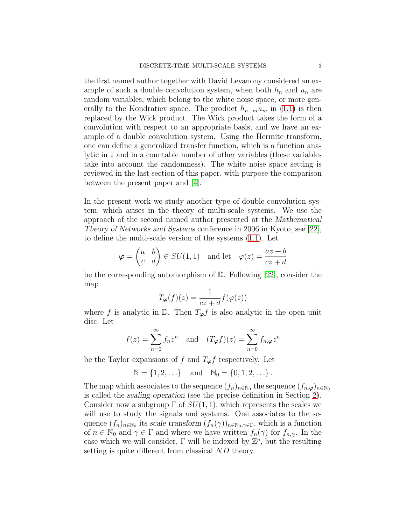the first named author together with David Levanony considered an example of such a double convolution system, when both  $h_n$  and  $u_n$  are random variables, which belong to the white noise space, or more generally to the Kondratiev space. The product  $h_{n-m}u_m$  in [\(1.1\)](#page-3-1) is then replaced by the Wick product. The Wick product takes the form of a convolution with respect to an appropriate basis, and we have an example of a double convolution system. Using the Hermite transform, one can define a generalized transfer function, which is a function analytic in z and in a countable number of other variables (these variables take into account the randomness). The white noise space setting is reviewed in the last section of this paper, with purpose the comparison between the present paper and [\[4\]](#page-33-5).

In the present work we study another type of double convolution system, which arises in the theory of multi-scale systems. We use the approach of the second named author presented at the Mathematical Theory of Networks and Systems conference in 2006 in Kyoto, see [\[22\]](#page-34-0), to define the multi-scale version of the systems [\(1.1\)](#page-3-1). Let

$$
\varphi = \begin{pmatrix} a & b \\ c & d \end{pmatrix} \in SU(1,1) \quad \text{and let} \quad \varphi(z) = \frac{az+b}{cz+d}
$$

be the corresponding automorphism of D. Following [\[22\]](#page-34-0), consider the map

$$
T_{\varphi}(f)(z) = \frac{1}{cz + d} f(\varphi(z))
$$

where f is analytic in  $\mathbb{D}$ . Then  $T_{\varphi} f$  is also analytic in the open unit disc. Let

$$
f(z) = \sum_{n=0}^{\infty} f_n z^n \text{ and } (T_{\varphi} f)(z) = \sum_{n=0}^{\infty} f_{n,\varphi} z^n
$$

be the Taylor expansions of f and  $T_{\varphi} f$  respectively. Let

$$
\mathbb{N}=\left\{1,2,\ldots\right\}\quad\text{and}\quad\mathbb{N}_0=\left\{0,1,2,\ldots\right\}.
$$

The map which associates to the sequence  $(f_n)_{n \in \mathbb{N}_0}$  the sequence  $(f_{n,\varphi})_{n \in \mathbb{N}_0}$ is called the scaling operation (see the precise definition in Section [2\)](#page-6-0). Consider now a subgroup  $\Gamma$  of  $SU(1,1)$ , which represents the scales we will use to study the signals and systems. One associates to the sequence  $(f_n)_{n\in\mathbb{N}_0}$  its scale transform  $(f_n(\gamma))_{n\in\mathbb{N}_0,\gamma\in\Gamma}$ , which is a function of  $n \in \mathbb{N}_0$  and  $\gamma \in \Gamma$  and where we have written  $f_n(\gamma)$  for  $f_{n,\gamma}$ . In the case which we will consider,  $\Gamma$  will be indexed by  $\mathbb{Z}^p$ , but the resulting setting is quite different from classical ND theory.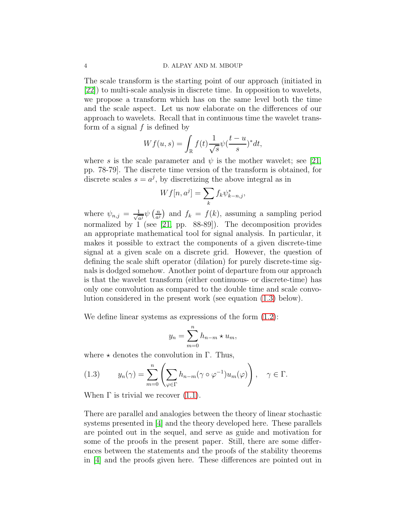The scale transform is the starting point of our approach (initiated in [\[22\]](#page-34-0)) to multi-scale analysis in discrete time. In opposition to wavelets, we propose a transform which has on the same level both the time and the scale aspect. Let us now elaborate on the differences of our approach to wavelets. Recall that in continuous time the wavelet transform of a signal  $f$  is defined by

$$
Wf(u,s) = \int_{\mathbb{R}} f(t) \frac{1}{\sqrt{s}} \psi(\frac{t-u}{s})^* dt,
$$

where s is the scale parameter and  $\psi$  is the mother wavelet; see [\[21,](#page-34-1) pp. 78-79]. The discrete time version of the transform is obtained, for discrete scales  $s = a^j$ , by discretizing the above integral as in

$$
Wf[n, a^j] = \sum_k f_k \psi_{k-n,j}^*,
$$

where  $\psi_{n,j} = \frac{1}{\sqrt{a}}$  $rac{1}{a^j}\psi\left(\frac{n}{a^j}\right)$  $\frac{n}{a^j}$  and  $f_k = f(k)$ , assuming a sampling period normalized by 1 (see [\[21,](#page-34-1) pp. 88-89]). The decomposition provides an appropriate mathematical tool for signal analysis. In particular, it makes it possible to extract the components of a given discrete-time signal at a given scale on a discrete grid. However, the question of defining the scale shift operator (dilation) for purely discrete-time signals is dodged somehow. Another point of departure from our approach is that the wavelet transform (either continuous- or discrete-time) has only one convolution as compared to the double time and scale convolution considered in the present work (see equation [\(1.3\)](#page-5-0) below).

We define linear systems as expressions of the form  $(1.2)$ :

$$
y_n = \sum_{m=0}^n h_{n-m} \star u_m,
$$

where  $\star$  denotes the convolution in Γ. Thus,

<span id="page-5-0"></span>(1.3) 
$$
y_n(\gamma) = \sum_{m=0}^n \left( \sum_{\varphi \in \Gamma} h_{n-m}(\gamma \circ \varphi^{-1}) u_m(\varphi) \right), \quad \gamma \in \Gamma.
$$

When  $\Gamma$  is trivial we recover  $(1.1)$ .

There are parallel and analogies between the theory of linear stochastic systems presented in [\[4\]](#page-33-5) and the theory developed here. These parallels are pointed out in the sequel, and serve as guide and motivation for some of the proofs in the present paper. Still, there are some differences between the statements and the proofs of the stability theorems in [\[4\]](#page-33-5) and the proofs given here. These differences are pointed out in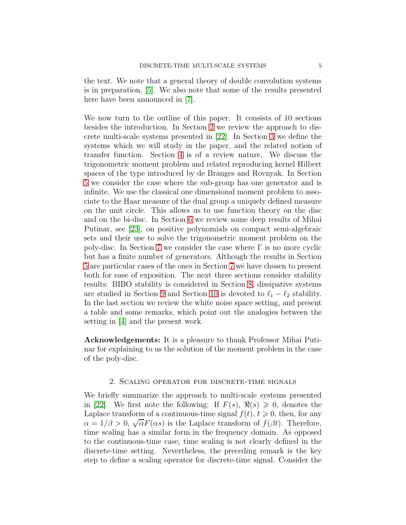the text. We note that a general theory of double convolution systems is in preparation, [\[5\]](#page-33-6). We also note that some of the results presented here have been announced in [\[7\]](#page-33-7).

We now turn to the outline of this paper. It consists of 10 sections besides the introduction. In Section [2](#page-6-0) we review the approach to discrete multi-scale systems presented in [\[22\]](#page-34-0). In Section [3](#page-12-0) we define the systems which we will study in the paper, and the related notion of transfer function. Section [4](#page-15-0) is of a review nature. We discuss the trigonometric moment problem and related reproducing kernel Hilbert spaces of the type introduced by de Branges and Rovnyak. In Section [5](#page-17-0) we consider the case where the sub-group has one generator and is infinite. We use the classical one dimensional moment problem to associate to the Haar measure of the dual group a uniquely defined measure on the unit circle. This allows us to use function theory on the disc and on the bi-disc. In Section [6](#page-20-0) we review some deep results of Mihai Putinar, see [\[23\]](#page-34-2), on positive polynomials on compact semi-algebraic sets and their use to solve the trigonometric moment problem on the poly-disc. In Section [7](#page-21-0) we consider the case where  $\Gamma$  is no more cyclic but has a finite number of generators. Although the results in Section [5](#page-17-0) are particular cases of the ones in Section [7](#page-21-0) we have chosen to present both for ease of exposition. The next three sections consider stability results: BIBO stability is considered in Section [8,](#page-23-0) dissipative systems are studied in Section [9](#page-25-0) and Section [10](#page-27-0) is devoted to  $\ell_1 - \ell_2$  stability. In the last section we review the white noise space setting, and present a table and some remarks, which point out the analogies between the setting in [\[4\]](#page-33-5) and the present work.

Acknowledgements: It is a pleasure to thank Professor Mihai Putinar for explaining to us the solution of the moment problem in the case of the poly-disc.

#### 2. Scaling operator for discrete-time signals

<span id="page-6-0"></span>We briefly summarize the approach to multi-scale systems presented in [\[22\]](#page-34-0). We first note the following: If  $F(s)$ ,  $\Re(s) \geq 0$ , denotes the Laplace transform of a continuous-time signal  $f(t)$ ,  $t \geq 0$ , then, for any  $\alpha = 1/\beta > 0$ ,  $\sqrt{\alpha} F(\alpha s)$  is the Laplace transform of  $f(\beta t)$ . Therefore, time scaling has a similar form in the frequency domain. As opposed to the continuous-time case, time scaling is not clearly defined in the discrete-time setting. Nevertheless, the preceding remark is the key step to define a scaling operator for discrete-time signal. Consider the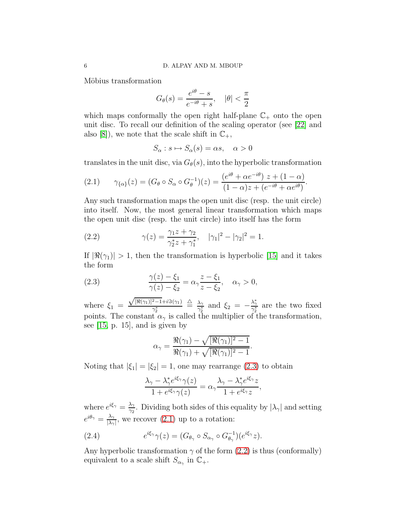Möbius transformation

$$
G_{\theta}(s) = \frac{e^{i\theta} - s}{e^{-i\theta} + s}, \quad |\theta| < \frac{\pi}{2}
$$

which maps conformally the open right half-plane  $\mathbb{C}_+$  onto the open unit disc. To recall our definition of the scaling operator (see [\[22\]](#page-34-0) and also [\[8\]](#page-33-8)), we note that the scale shift in  $\mathbb{C}_+$ ,

$$
S_{\alpha}: s \mapsto S_{\alpha}(s) = \alpha s, \quad \alpha > 0
$$

translates in the unit disc, via  $G_{\theta}(s)$ , into the hyperbolic transformation

<span id="page-7-1"></span>(2.1) 
$$
\gamma_{\{\alpha\}}(z) = (G_{\theta} \circ S_{\alpha} \circ G_{\theta}^{-1})(z) = \frac{(e^{i\theta} + \alpha e^{-i\theta}) z + (1 - \alpha)}{(1 - \alpha)z + (e^{-i\theta} + \alpha e^{i\theta})}.
$$

Any such transformation maps the open unit disc (resp. the unit circle) into itself. Now, the most general linear transformation which maps the open unit disc (resp. the unit circle) into itself has the form

<span id="page-7-2"></span>(2.2) 
$$
\gamma(z) = \frac{\gamma_1 z + \gamma_2}{\gamma_2^* z + \gamma_1^*}, \quad |\gamma_1|^2 - |\gamma_2|^2 = 1.
$$

If  $|\Re(\gamma_1)| > 1$ , then the transformation is hyperbolic [\[15\]](#page-33-9) and it takes the form

(2.3) 
$$
\frac{\gamma(z) - \xi_1}{\gamma(z) - \xi_2} = \alpha_{\gamma} \frac{z - \xi_1}{z - \xi_2}, \quad \alpha_{\gamma} > 0,
$$

where  $\xi_1$  =  $\sqrt{[\Re(\gamma_1)]^2-1}+i\Im(\gamma_1)$  $\gamma^*_2$  $\stackrel{\triangle}{=} \frac{\lambda_\gamma}{\gamma^*}$  $\frac{\lambda_{\gamma}}{\gamma_{2}^{*}}$  and  $\xi_{2} = -\frac{\lambda_{\gamma}^{*}}{\gamma_{2}^{*}}$  are the two fixed points. The constant  $\alpha_{\gamma}$  is called the multiplier of the transformation, see  $[15, p. 15]$ , and is given by

<span id="page-7-0"></span>
$$
\alpha_{\gamma} = \frac{\Re(\gamma_1) - \sqrt{[\Re(\gamma_1)]^2 - 1}}{\Re(\gamma_1) + \sqrt{[\Re(\gamma_1)]^2 - 1}}.
$$

Noting that  $|\xi_1| = |\xi_2| = 1$ , one may rearrange [\(2.3\)](#page-7-0) to obtain

<span id="page-7-3"></span>
$$
\frac{\lambda_{\gamma} - \lambda_{\gamma}^* e^{i\xi_{\gamma}} \gamma(z)}{1 + e^{i\xi_{\gamma}} \gamma(z)} = \alpha_{\gamma} \frac{\lambda_{\gamma} - \lambda_{\gamma}^* e^{i\xi_{\gamma}} z}{1 + e^{i\xi_{\gamma}} z},
$$

where  $e^{i\xi_{\gamma}} = \frac{\lambda_{\gamma}}{2}$  $\frac{\lambda_{\gamma}}{\gamma_{2}}$ . Dividing both sides of this equality by  $|\lambda_{\gamma}|$  and setting  $e^{i\theta_{\gamma}} = \frac{\lambda_{\gamma}}{|\lambda_{\gamma}|}$  $\frac{\lambda_{\gamma}}{|\lambda_{\gamma}|}$ , we recover [\(2.1\)](#page-7-1) up to a rotation:

(2.4) 
$$
e^{i\xi_{\gamma}}\gamma(z) = (G_{\theta_{\gamma}} \circ S_{\alpha_{\gamma}} \circ G_{\theta_{\gamma}}^{-1})(e^{i\xi_{\gamma}}z).
$$

Any hyperbolic transformation  $\gamma$  of the form [\(2.2\)](#page-7-2) is thus (conformally) equivalent to a scale shift  $S_{\alpha_{\gamma}}$  in  $\mathbb{C}_{+}$ .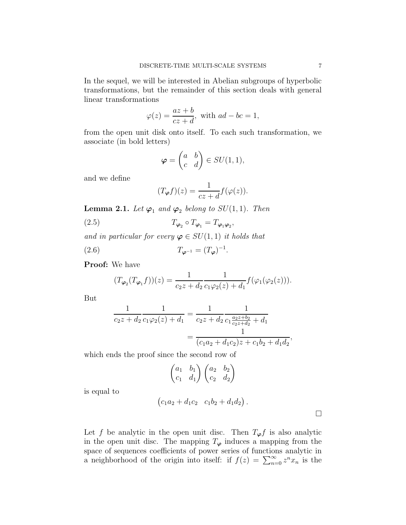In the sequel, we will be interested in Abelian subgroups of hyperbolic transformations, but the remainder of this section deals with general linear transformations

$$
\varphi(z) = \frac{az+b}{cz+d}, \text{ with } ad-bc = 1,
$$

from the open unit disk onto itself. To each such transformation, we associate (in bold letters)

$$
\boldsymbol{\varphi} = \begin{pmatrix} a & b \\ c & d \end{pmatrix} \in SU(1,1),
$$

and we define

<span id="page-8-1"></span>
$$
(T_{\varphi}f)(z) = \frac{1}{cz+d}f(\varphi(z)).
$$

**Lemma 2.1.** Let  $\varphi_1$  and  $\varphi_2$  belong to  $SU(1,1)$ . Then

(2.5) 
$$
T_{\varphi_2} \circ T_{\varphi_1} = T_{\varphi_1 \varphi_2},
$$

and in particular for every  $\varphi \in SU(1,1)$  it holds that

(2.6) 
$$
T_{\varphi^{-1}} = (T_{\varphi})^{-1}
$$

Proof: We have

$$
(T_{\varphi_2}(T_{\varphi_1}f))(z) = \frac{1}{c_2z + d_2} \frac{1}{c_1\varphi_2(z) + d_1} f(\varphi_1(\varphi_2(z))).
$$

<span id="page-8-0"></span>.

But

$$
\frac{1}{c_2 z + d_2} \frac{1}{c_1 \varphi_2(z) + d_1} = \frac{1}{c_2 z + d_2} \frac{1}{c_1 \frac{a_2 z + b_2}{c_2 z + d_2} + d_1}
$$

$$
= \frac{1}{(c_1 a_2 + d_1 c_2) z + c_1 b_2 + d_1 d_2},
$$

which ends the proof since the second row of

$$
\begin{pmatrix} a_1 & b_1 \ c_1 & d_1 \end{pmatrix} \begin{pmatrix} a_2 & b_2 \ c_2 & d_2 \end{pmatrix}
$$

is equal to

$$
(c_1a_2 + d_1c_2 \quad c_1b_2 + d_1d_2).
$$

Let f be analytic in the open unit disc. Then  $T_{\varphi} f$  is also analytic in the open unit disc. The mapping  $T_{\varphi}$  induces a mapping from the space of sequences coefficients of power series of functions analytic in a neighborhood of the origin into itself: if  $f(z) = \sum_{n=0}^{\infty} z^n x_n$  is the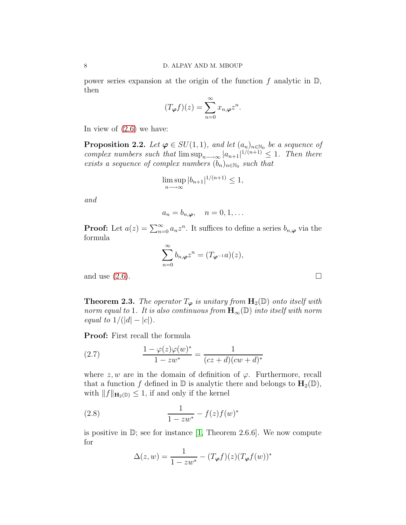power series expansion at the origin of the function f analytic in  $\mathbb{D}$ , then

$$
(T_{\varphi}f)(z) = \sum_{n=0}^{\infty} x_{n,\varphi} z^n.
$$

In view of [\(2.6\)](#page-8-0) we have:

**Proposition 2.2.** Let  $\varphi \in SU(1,1)$ , and let  $(a_n)_{n \in \mathbb{N}_0}$  be a sequence of complex numbers such that  $\limsup_{n\to\infty} |a_{n+1}|^{1/(n+1)} \leq 1$ . Then there exists a sequence of complex numbers  $(b_n)_{n \in \mathbb{N}_0}$  such that

$$
\limsup_{n \to \infty} |b_{n+1}|^{1/(n+1)} \le 1,
$$

and

$$
a_n = b_{n,\boldsymbol{\varphi}}, \quad n = 0, 1, \dots
$$

**Proof:** Let  $a(z) = \sum_{n=0}^{\infty} a_n z^n$ . It suffices to define a series  $b_{n,\varphi}$  via the formula

$$
\sum_{n=0}^{\infty} b_{n,\boldsymbol{\varphi}} z^n = (T_{\boldsymbol{\varphi}^{-1}} a)(z),
$$

and use  $(2.6)$ .

<span id="page-9-2"></span>**Theorem 2.3.** The operator  $T_{\varphi}$  is unitary from  $\mathbf{H}_2(\mathbb{D})$  onto itself with norm equal to 1. It is also continuous from  $H_{\infty}(\mathbb{D})$  into itself with norm equal to  $1/(|d| - |c|)$ .

Proof: First recall the formula

<span id="page-9-0"></span>(2.7) 
$$
\frac{1 - \varphi(z)\varphi(w)^*}{1 - zw^*} = \frac{1}{(cz + d)(cw + d)^*}
$$

where  $z, w$  are in the domain of definition of  $\varphi$ . Furthermore, recall that a function f defined in  $\mathbb D$  is analytic there and belongs to  $H_2(\mathbb D)$ , with  $||f||_{\mathbf{H}_2(D)} \leq 1$ , if and only if the kernel

(2.8) 
$$
\frac{1}{1 - zw^*} - f(z)f(w)^*
$$

is positive in  $\mathbb{D}$ ; see for instance [\[1,](#page-33-1) Theorem 2.6.6]. We now compute for

<span id="page-9-1"></span>
$$
\Delta(z, w) = \frac{1}{1 - zw^*} - (T_{\varphi}f)(z)(T_{\varphi}f(w))^*
$$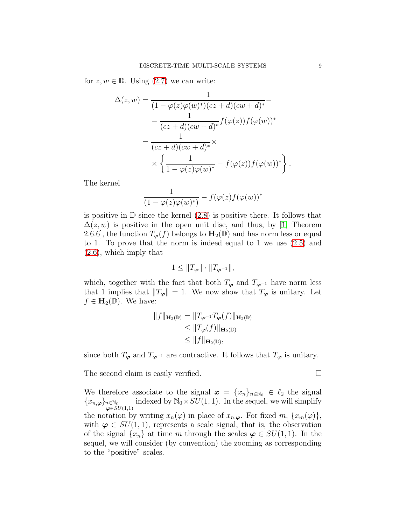for  $z, w \in \mathbb{D}$ . Using  $(2.7)$  we can write:

$$
\Delta(z, w) = \frac{1}{(1 - \varphi(z)\varphi(w)^*)(cz + d)(cw + d)^*} - \frac{1}{(cz + d)(cw + d)^*} f(\varphi(z))f(\varphi(w))^*
$$

$$
= \frac{1}{(cz + d)(cw + d)^*} \times \frac{1}{\sqrt{\frac{1}{1 - \varphi(z)\varphi(w)^*}} - f(\varphi(z))f(\varphi(w))^*}.
$$

The kernel

$$
\frac{1}{(1-\varphi(z)\varphi(w)^*)} - f(\varphi(z)f(\varphi(w))^*
$$

is positive in  $\mathbb D$  since the kernel  $(2.8)$  is positive there. It follows that  $\Delta(z, w)$  is positive in the open unit disc, and thus, by [\[1,](#page-33-1) Theorem 2.6.6], the function  $T_{\varphi}(f)$  belongs to  $H_2(\mathbb{D})$  and has norm less or equal to 1. To prove that the norm is indeed equal to 1 we use [\(2.5\)](#page-8-1) and [\(2.6\)](#page-8-0), which imply that

$$
1 \leq \|T_{\varphi}\| \cdot \|T_{\varphi^{-1}}\|,
$$

which, together with the fact that both  $T_{\varphi}$  and  $T_{\varphi^{-1}}$  have norm less that 1 implies that  $||T_{\varphi}|| = 1$ . We now show that  $T_{\varphi}$  is unitary. Let  $f \in \mathbf{H}_2(\mathbb{D})$ . We have:

$$
||f||_{\mathbf{H}_2(\mathbb{D})} = ||T_{\varphi^{-1}}T_{\varphi}(f)||_{\mathbf{H}_2(\mathbb{D})}
$$
  
\n
$$
\leq ||T_{\varphi}(f)||_{\mathbf{H}_2(\mathbb{D})}
$$
  
\n
$$
\leq ||f||_{\mathbf{H}_2(\mathbb{D})},
$$

since both  $T_{\varphi}$  and  $T_{\varphi^{-1}}$  are contractive. It follows that  $T_{\varphi}$  is unitary.

The second claim is easily verified.

We therefore associate to the signal  $x = \{x_n\}_{n \in \mathbb{N}_0} \in \ell_2$  the signal  ${x_{n,\boldsymbol{\varphi}}}_{\boldsymbol{\varphi}\in SU(1,1)}^{n\in\mathbb{N}_0}$ indexed by  $\mathbb{N}_0 \times SU(1, 1)$ . In the sequel, we will simplify the notation by writing  $x_n(\varphi)$  in place of  $x_{n,\varphi}$ . For fixed  $m, \{x_m(\varphi)\},$ with  $\varphi \in SU(1,1)$ , represents a scale signal, that is, the observation of the signal  $\{x_n\}$  at time m through the scales  $\varphi \in SU(1,1)$ . In the sequel, we will consider (by convention) the zooming as corresponding to the "positive" scales.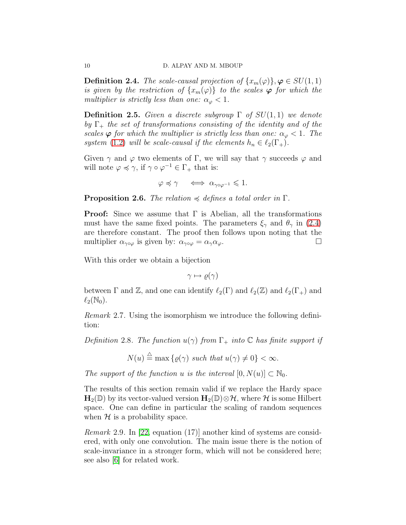<span id="page-11-0"></span>**Definition 2.4.** The scale-causal projection of  $\{x_m(\varphi)\}\, \varphi \in SU(1,1)$ is given by the restriction of  $\{x_m(\varphi)\}\;$  to the scales  $\varphi$  for which the multiplier is strictly less than one:  $\alpha_{\varphi} < 1$ .

**Definition 2.5.** Given a discrete subgroup  $\Gamma$  of  $SU(1,1)$  we denote by  $\Gamma_+$  the set of transformations consisting of the identity and of the scales  $\varphi$  for which the multiplier is strictly less than one:  $\alpha_{\varphi} < 1$ . The system [\(1.2\)](#page-3-2) will be scale-causal if the elements  $h_n \in \ell_2(\Gamma_+).$ 

Given  $\gamma$  and  $\varphi$  two elements of Γ, we will say that  $\gamma$  succeeds  $\varphi$  and will note  $\varphi \preccurlyeq \gamma$ , if  $\gamma \circ \varphi^{-1} \in \Gamma_+$  that is:

$$
\varphi \preccurlyeq \gamma \quad \iff \alpha_{\gamma \circ \varphi^{-1}} \leqslant 1.
$$

**Proposition 2.6.** The relation  $\preccurlyeq$  defines a total order in  $\Gamma$ .

**Proof:** Since we assume that  $\Gamma$  is Abelian, all the transformations must have the same fixed points. The parameters  $\xi_{\gamma}$  and  $\theta_{\gamma}$  in [\(2.4\)](#page-7-3) are therefore constant. The proof then follows upon noting that the multiplier  $\alpha_{\gamma \circ \varphi}$  is given by:  $\alpha_{\gamma \circ \varphi} = \alpha_{\gamma} \alpha_{\varphi}$ .

With this order we obtain a bijection

 $\gamma \mapsto \rho(\gamma)$ 

between  $\Gamma$  and  $\mathbb{Z}$ , and one can identify  $\ell_2(\Gamma)$  and  $\ell_2(\mathbb{Z})$  and  $\ell_2(\Gamma_+)$  and  $\ell_2(\mathbb{N}_0)$ .

Remark 2.7. Using the isomorphism we introduce the following definition:

Definition 2.8. The function  $u(\gamma)$  from  $\Gamma_+$  into  $\mathbb C$  has finite support if

$$
N(u) \stackrel{\triangle}{=} \max\left\{ \varrho(\gamma) \text{ such that } u(\gamma) \neq 0 \right\} < \infty.
$$

The support of the function u is the interval  $[0, N(u)] \subset \mathbb{N}_0$ .

The results of this section remain valid if we replace the Hardy space  $\mathbf{H}_2(\mathbb{D})$  by its vector-valued version  $\mathbf{H}_2(\mathbb{D})\otimes\mathcal{H}$ , where  $\mathcal H$  is some Hilbert space. One can define in particular the scaling of random sequences when  $H$  is a probability space.

Remark 2.9. In [\[22,](#page-34-0) equation (17)] another kind of systems are considered, with only one convolution. The main issue there is the notion of scale-invariance in a stronger form, which will not be considered here; see also [\[6\]](#page-33-10) for related work.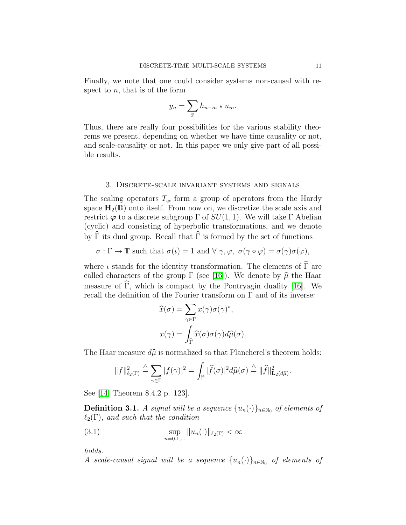Finally, we note that one could consider systems non-causal with respect to  $n$ , that is of the form

$$
y_n = \sum_{\mathbb{Z}} h_{n-m} \star u_m.
$$

Thus, there are really four possibilities for the various stability theorems we present, depending on whether we have time causality or not, and scale-causality or not. In this paper we only give part of all possible results.

# <span id="page-12-0"></span>3. Discrete-scale invariant systems and signals

The scaling operators  $T_{\varphi}$  form a group of operators from the Hardy space  $H_2(\mathbb{D})$  onto itself. From now on, we discretize the scale axis and restrict  $\varphi$  to a discrete subgroup  $\Gamma$  of  $SU(1, 1)$ . We will take  $\Gamma$  Abelian (cyclic) and consisting of hyperbolic transformations, and we denote by  $\widehat{\Gamma}$  its dual group. Recall that  $\widehat{\Gamma}$  is formed by the set of functions

$$
\sigma:\Gamma\to\mathbb{T} \text{ such that } \sigma(\iota)=1 \text{ and } \forall\;\gamma,\varphi,\;\sigma(\gamma\circ\varphi)=\sigma(\gamma)\sigma(\varphi),
$$

where  $\iota$  stands for the identity transformation. The elements of  $\Gamma$  are called characters of the group  $\Gamma$  (see [\[16\]](#page-33-11)). We denote by  $\hat{\mu}$  the Haar measure of  $\widehat{\Gamma}$ , which is compact by the Pontryagin duality [\[16\]](#page-33-11). We recall the definition of the Fourier transform on  $\Gamma$  and of its inverse:

$$
\widehat{x}(\sigma) = \sum_{\gamma \in \Gamma} x(\gamma) \sigma(\gamma)^*,
$$

$$
x(\gamma) = \int_{\widehat{\Gamma}} \widehat{x}(\sigma) \sigma(\gamma) d\widehat{\mu}(\sigma).
$$

The Haar measure  $d\hat{\mu}$  is normalized so that Plancherel's theorem holds:

$$
||f||_{\ell_2(\Gamma)}^2 \stackrel{\triangle}{=} \sum_{\gamma \in \Gamma} |f(\gamma)|^2 = \int_{\widehat{\Gamma}} |\widehat{f}(\sigma)|^2 d\widehat{\mu}(\sigma) \stackrel{\triangle}{=} ||\widehat{f}||_{\mathbf{L}_2(d\widehat{\mu})}^2.
$$

See [\[14,](#page-33-12) Theorem 8.4.2 p. 123].

**Definition 3.1.** A signal will be a sequence  $\{u_n(\cdot)\}\$ <sub>n∈N0</sub> of elements of  $\ell_2(\Gamma)$ , and such that the condition

<span id="page-12-1"></span>(3.1) 
$$
\sup_{n=0,1,...} \|u_n(\cdot)\|_{\ell_2(\Gamma)} < \infty
$$

holds.

A scale-causal signal will be a sequence  $\{u_n(\cdot)\}_{n\in\mathbb{N}_0}$  of elements of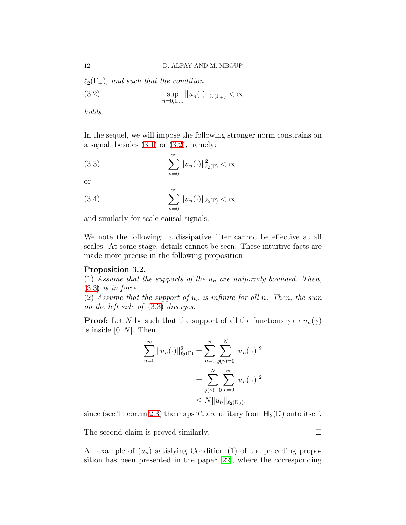$\ell_2(\Gamma_+)$ , and such that the condition

<span id="page-13-0"></span>(3.2) 
$$
\sup_{n=0,1,...} ||u_n(\cdot)||_{\ell_2(\Gamma_+)} < \infty
$$

holds.

In the sequel, we will impose the following stronger norm constrains on a signal, besides  $(3.1)$  or  $(3.2)$ , namely:

<span id="page-13-1"></span>(3.3) 
$$
\sum_{n=0}^{\infty} ||u_n(\cdot)||_{\ell_2(\Gamma)}^2 < \infty,
$$

or

(3.4) 
$$
\sum_{n=0}^{\infty} ||u_n(\cdot)||_{\ell_2(\Gamma)} < \infty,
$$

and similarly for scale-causal signals.

We note the following: a dissipative filter cannot be effective at all scales. At some stage, details cannot be seen. These intuitive facts are made more precise in the following proposition.

## Proposition 3.2.

(1) Assume that the supports of the  $u_n$  are uniformly bounded. Then,  $(3.3)$  is in force.

(2) Assume that the support of  $u_n$  is infinite for all n. Then, the sum on the left side of [\(3.3\)](#page-13-1) diverges.

**Proof:** Let N be such that the support of all the functions  $\gamma \mapsto u_n(\gamma)$ is inside  $[0, N]$ . Then,

$$
\sum_{n=0}^{\infty} ||u_n(\cdot)||_{\ell_2(\Gamma)}^2 = \sum_{n=0}^{\infty} \sum_{\varrho(\gamma)=0}^{N} |u_n(\gamma)|^2
$$
  
= 
$$
\sum_{\varrho(\gamma)=0}^{N} \sum_{n=0}^{\infty} |u_n(\gamma)|^2
$$
  

$$
\leq N ||u_n||_{\ell_2(\mathbb{N}_0)},
$$

since (see Theorem [2.3\)](#page-9-2) the maps  $T_{\gamma}$  are unitary from  $\mathbf{H}_{2}(\mathbb{D})$  onto itself.

The second claim is proved similarly.

An example of  $(u_n)$  satisfying Condition (1) of the preceding proposition has been presented in the paper [\[22\]](#page-34-0), where the corresponding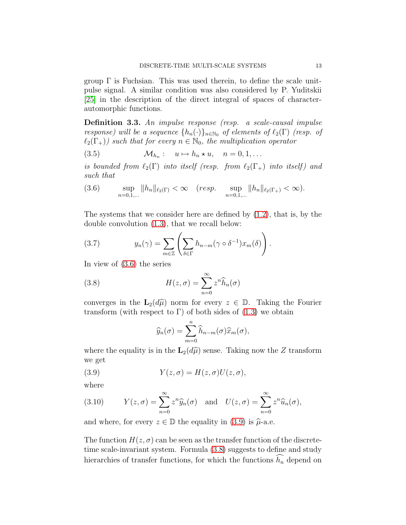group  $\Gamma$  is Fuchsian. This was used therein, to define the scale unitpulse signal. A similar condition was also considered by P. Yuditskii [\[25\]](#page-34-3) in the description of the direct integral of spaces of characterautomorphic functions.

Definition 3.3. An impulse response (resp. a scale-causal impulse response) will be a sequence  $\{h_n(\cdot)\}_{n\in\mathbb{N}_0}$  of elements of  $\ell_2(\Gamma)$  (resp. of  $\ell_2(\Gamma_+)$ ) such that for every  $n \in \mathbb{N}_0$ , the multiplication operator

<span id="page-14-4"></span>(3.5) M<sup>h</sup><sup>n</sup> : u 7→ h<sup>n</sup> ⋆ u, n = 0, 1, . . .

is bounded from  $\ell_2(\Gamma)$  into itself (resp. from  $\ell_2(\Gamma_+)$  into itself) and such that

<span id="page-14-0"></span>(3.6) 
$$
\sup_{n=0,1,...} ||h_n||_{\ell_2(\Gamma)} < \infty \quad (resp. \quad \sup_{n=0,1,...} ||h_n||_{\ell_2(\Gamma_+)} < \infty).
$$

The systems that we consider here are defined by [\(1.2\)](#page-3-2), that is, by the double convolution [\(1.3\)](#page-5-0), that we recall below:

<span id="page-14-3"></span>(3.7) 
$$
y_n(\gamma) = \sum_{m \in \mathbb{Z}} \left( \sum_{\delta \in \Gamma} h_{n-m}(\gamma \circ \delta^{-1}) x_m(\delta) \right).
$$

In view of [\(3.6\)](#page-14-0) the series

(3.8) 
$$
H(z,\sigma) = \sum_{n=0}^{\infty} z^n \widehat{h}_n(\sigma)
$$

converges in the  $\mathbf{L}_2(d\hat{\mu})$  norm for every  $z \in \mathbb{D}$ . Taking the Fourier transform (with respect to  $\Gamma$ ) of both sides of [\(1.3\)](#page-5-0) we obtain

<span id="page-14-2"></span><span id="page-14-1"></span>
$$
\widehat{y}_n(\sigma) = \sum_{m=0}^n \widehat{h}_{n-m}(\sigma) \widehat{x}_m(\sigma),
$$

where the equality is in the  $\mathbf{L}_2(d\hat{\mu})$  sense. Taking now the Z transform we get

(3.9) 
$$
Y(z,\sigma) = H(z,\sigma)U(z,\sigma),
$$

where

<span id="page-14-5"></span>(3.10) 
$$
Y(z,\sigma) = \sum_{n=0}^{\infty} z^n \widehat{y}_n(\sigma) \text{ and } U(z,\sigma) = \sum_{n=0}^{\infty} z^n \widehat{u}_n(\sigma),
$$

and where, for every  $z \in \mathbb{D}$  the equality in [\(3.9\)](#page-14-1) is  $\hat{\mu}$ -a.e.

The function  $H(z, \sigma)$  can be seen as the transfer function of the discretetime scale-invariant system. Formula [\(3.8\)](#page-14-2) suggests to define and study hierarchies of transfer functions, for which the functions  $\widehat{h_n}$  depend on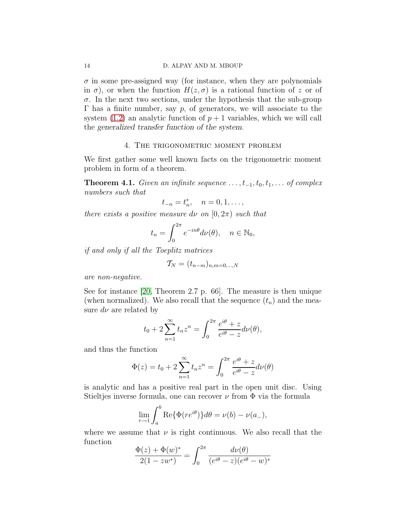$\sigma$  in some pre-assigned way (for instance, when they are polynomials in  $\sigma$ ), or when the function  $H(z, \sigma)$  is a rational function of z or of  $\sigma$ . In the next two sections, under the hypothesis that the sub-group  $Γ$  has a finite number, say  $p$ , of generators, we will associate to the system  $(1.2)$  an analytic function of  $p+1$  variables, which we will call the generalized transfer function of the system.

# 4. The trigonometric moment problem

<span id="page-15-0"></span>We first gather some well known facts on the trigonometric moment problem in form of a theorem.

<span id="page-15-1"></span>**Theorem 4.1.** Given an infinite sequence  $\dots, t_{-1}, t_0, t_1, \dots$  of complex numbers such that

$$
t_{-n} = t_n^*, \quad n = 0, 1, \dots,
$$

there exists a positive measure dv on  $[0, 2\pi)$  such that

$$
t_n = \int_0^{2\pi} e^{-in\theta} d\nu(\theta), \quad n \in \mathbb{N}_0,
$$

if and only if all the Toeplitz matrices

$$
\mathcal{T}_N = (t_{n-m})_{n,m=0,\ldots,N}
$$

are non-negative.

See for instance [\[20,](#page-34-4) Theorem 2.7 p. 66]. The measure is then unique (when normalized). We also recall that the sequence  $(t_n)$  and the measure  $d\nu$  are related by

$$
t_0 + 2\sum_{n=1}^{\infty} t_n z^n = \int_0^{2\pi} \frac{e^{i\theta} + z}{e^{i\theta} - z} d\nu(\theta),
$$

and thus the function

$$
\Phi(z) = t_0 + 2\sum_{n=1}^{\infty} t_n z^n = \int_0^{2\pi} \frac{e^{i\theta} + z}{e^{i\theta} - z} d\nu(\theta)
$$

is analytic and has a positive real part in the open unit disc. Using Stieltjes inverse formula, one can recover  $\nu$  from  $\Phi$  via the formula

$$
\lim_{r \to 1} \int_a^b \text{Re}\{\Phi(re^{i\theta})\} d\theta = \nu(b) - \nu(a_-),
$$

where we assume that  $\nu$  is right continuous. We also recall that the function

$$
\frac{\Phi(z) + \Phi(w)^*}{2(1 - zw^*)} = \int_0^{2\pi} \frac{d\nu(\theta)}{(e^{i\theta} - z)(e^{i\theta} - w)^*}
$$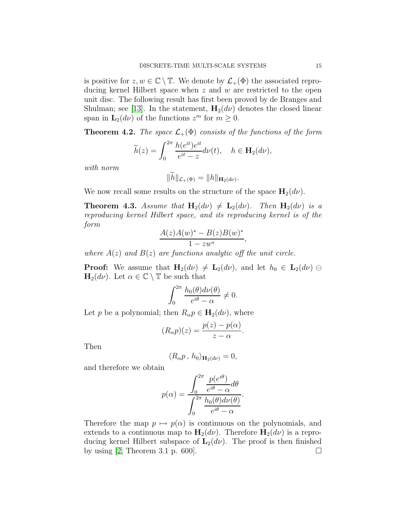is positive for  $z, w \in \mathbb{C} \setminus \mathbb{T}$ . We denote by  $\mathcal{L}_+(\Phi)$  the associated reproducing kernel Hilbert space when z and w are restricted to the open unit disc. The following result has first been proved by de Branges and Shulman; see [\[13\]](#page-33-13). In the statement,  $H_2(d\nu)$  denotes the closed linear span in  $\mathbf{L}_2(d\nu)$  of the functions  $z^m$  for  $m \geq 0$ .

**Theorem 4.2.** The space  $\mathcal{L}_+(\Phi)$  consists of the functions of the form

$$
\widetilde{h}(z) = \int_0^{2\pi} \frac{h(e^{it})e^{it}}{e^{it} - z} d\nu(t), \quad h \in \mathbf{H}_2(d\nu),
$$

with norm

$$
||h||_{\mathcal{L}_{+}(\Phi)}=||h||_{\mathbf{H}_{2}(d\nu)}.
$$

We now recall some results on the structure of the space  $H_2(d\nu)$ .

**Theorem 4.3.** Assume that  $H_2(d\nu) \neq L_2(d\nu)$ . Then  $H_2(d\nu)$  is a reproducing kernel Hilbert space, and its reproducing kernel is of the form

$$
\frac{A(z)A(w)^{*}-B(z)B(w)^{*}}{1-zw^{*}},
$$

where  $A(z)$  and  $B(z)$  are functions analytic off the unit circle.

**Proof:** We assume that  $H_2(d\nu) \neq L_2(d\nu)$ , and let  $h_0 \in L_2(d\nu) \ominus$  $\mathbf{H}_{2}(d\nu)$ . Let  $\alpha \in \mathbb{C} \setminus \mathbb{T}$  be such that

$$
\int_0^{2\pi} \frac{h_0(\theta) d\nu(\theta)}{e^{i\theta} - \alpha} \neq 0.
$$

Let p be a polynomial; then  $R_{\alpha} p \in \mathbf{H}_{2}(d\nu)$ , where

$$
(R_{\alpha}p)(z) = \frac{p(z) - p(\alpha)}{z - \alpha}
$$

.

Then

$$
\langle R_{\alpha}p \, , \, h_0 \rangle_{\mathbf{H}_2(d\nu)} = 0,
$$

and therefore we obtain

$$
p(\alpha) = \frac{\int_0^{2\pi} \frac{p(e^{i\theta})}{e^{i\theta} - \alpha} d\theta}{\int_0^{2\pi} \frac{h_0(\theta) d\nu(\theta)}{e^{i\theta} - \alpha}}.
$$

Therefore the map  $p \mapsto p(\alpha)$  is continuous on the polynomials, and extends to a continuous map to  $H_2(d\nu)$ . Therefore  $H_2(d\nu)$  is a reproducing kernel Hilbert subspace of  $\mathbf{L}_2(d\nu)$ . The proof is then finished by using [\[2,](#page-33-14) Theorem 3.1 p. 600].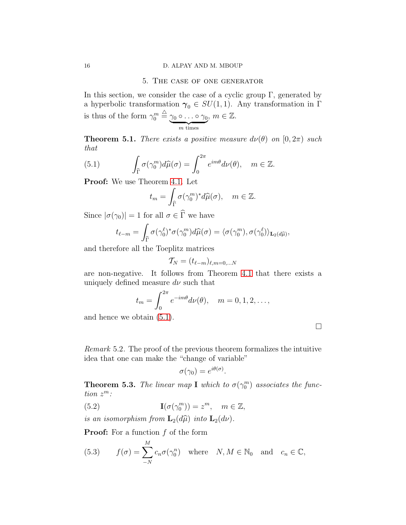#### <span id="page-17-0"></span>16 D. ALPAY AND M. MBOUP

#### 5. The case of one generator

In this section, we consider the case of a cyclic group  $\Gamma$ , generated by a hyperbolic transformation  $\gamma_0 \in SU(1,1)$ . Any transformation in Γ is thus of the form  $\gamma_0^m \stackrel{\triangle}{=} \gamma_0 \circ \ldots \circ \gamma_0$  ${m}$  times  $m \in \mathbb{Z}$ .

**Theorem 5.1.** There exists a positive measure  $d\nu(\theta)$  on  $[0, 2\pi)$  such that

(5.1) 
$$
\int_{\widehat{\Gamma}} \sigma(\gamma_0^m) d\widehat{\mu}(\sigma) = \int_0^{2\pi} e^{im\theta} d\nu(\theta), \quad m \in \mathbb{Z}.
$$

Proof: We use Theorem [4.1.](#page-15-1) Let

<span id="page-17-1"></span>
$$
t_m = \int_{\widehat{\Gamma}} \sigma(\gamma_0^m)^* d\widehat{\mu}(\sigma), \quad m \in \mathbb{Z}.
$$

Since  $|\sigma(\gamma_0)| = 1$  for all  $\sigma \in \widehat{\Gamma}$  we have

$$
t_{\ell-m} = \int_{\widehat{\Gamma}} \sigma(\gamma_0^{\ell})^* \sigma(\gamma_0^m) d\widehat{\mu}(\sigma) = \langle \sigma(\gamma_0^m), \sigma(\gamma_0^{\ell}) \rangle_{\mathbf{L}_2(d\widehat{\mu})}
$$

and therefore all the Toeplitz matrices

$$
\mathcal{T}_N = (t_{\ell-m})_{\ell,m=0,\ldots,N}
$$

are non-negative. It follows from Theorem [4.1](#page-15-1) that there exists a uniquely defined measure  $d\nu$  such that

$$
t_m = \int_0^{2\pi} e^{-im\theta} d\nu(\theta), \quad m = 0, 1, 2, \dots,
$$

and hence we obtain [\(5.1\)](#page-17-1).

,

Remark 5.2. The proof of the previous theorem formalizes the intuitive idea that one can make the "change of variable"

$$
\sigma(\gamma_0) = e^{i\theta(\sigma)}
$$

.

**Theorem 5.3.** The linear map **I** which to  $\sigma(\gamma_0^m)$  associates the function  $z^m$ :

(5.2) 
$$
\mathbf{I}(\sigma(\gamma_0^m)) = z^m, \quad m \in \mathbb{Z},
$$

is an isomorphism from  $\mathbf{L}_2(d\widehat{\mu})$  into  $\mathbf{L}_2(d\nu)$ .

**Proof:** For a function  $f$  of the form

<span id="page-17-2"></span>(5.3) 
$$
f(\sigma) = \sum_{-N}^{M} c_n \sigma(\gamma_0^n) \text{ where } N, M \in \mathbb{N}_0 \text{ and } c_n \in \mathbb{C},
$$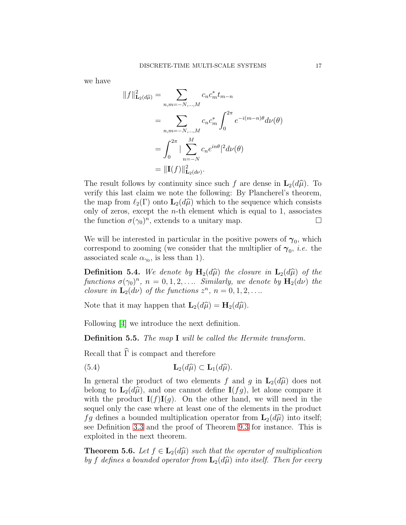we have

$$
||f||_{\mathbf{L}_2(d\hat{\mu})}^2 = \sum_{n,m=-N,\dots,M} c_n c_m^* t_{m-n}
$$
  
= 
$$
\sum_{n,m=-N,\dots,M} c_n c_m^* \int_0^{2\pi} e^{-i(m-n)\theta} d\nu(\theta)
$$
  
= 
$$
\int_0^{2\pi} |\sum_{n=-N}^M c_n e^{in\theta}|^2 d\nu(\theta)
$$
  
= 
$$
||\mathbf{I}(f)||_{\mathbf{L}_2(d\nu)}^2.
$$

The result follows by continuity since such f are dense in  $\mathbf{L}_2(d\hat{\mu})$ . To verify this last claim we note the following: By Plancherel's theorem, the map from  $\ell_2(\Gamma)$  onto  $\mathbf{L}_2(d\widehat{\mu})$  which to the sequence which consists only of zeros, except the  $n$ -th element which is equal to 1, associates the function  $\sigma(\gamma_0)^n$ , extends to a unitary map.

We will be interested in particular in the positive powers of  $\gamma_0$ , which correspond to zooming (we consider that the multiplier of  $\gamma_0$ , *i.e.* the associated scale  $\alpha_{\gamma_0}$ , is less than 1).

**Definition 5.4.** We denote by  $H_2(d\hat{\mu})$  the closure in  $L_2(d\hat{\mu})$  of the functions  $\sigma(\gamma_0)^n$ ,  $n = 0, 1, 2, \ldots$  Similarly, we denote by  $\mathbf{H}_2(d\nu)$  the closure in  $\mathbf{L}_2(d\nu)$  of the functions  $z^n$ ,  $n = 0, 1, 2, \ldots$ 

Note that it may happen that  $\mathbf{L}_2(d\widehat{\mu}) = \mathbf{H}_2(d\widehat{\mu}).$ 

Following [\[4\]](#page-33-5) we introduce the next definition.

Definition 5.5. The map I will be called the Hermite transform.

Recall that  $\widehat{\Gamma}$  is compact and therefore

<span id="page-18-0"></span>(5.4) 
$$
\mathbf{L}_2(d\widehat{\mu}) \subset \mathbf{L}_1(d\widehat{\mu}).
$$

In general the product of two elements f and g in  $\mathbf{L}_2(d\hat{\mu})$  does not belong to  $\mathbf{L}_2(d\hat{\mu})$ , and one cannot define  $\mathbf{I}(fg)$ , let alone compare it with the product  $I(f)I(g)$ . On the other hand, we will need in the sequel only the case where at least one of the elements in the product fg defines a bounded multiplication operator from  $\mathbf{L}_2(d\hat{\mu})$  into itself; see Definition [3.3](#page-14-0) and the proof of Theorem [9.3](#page-26-0) for instance. This is exploited in the next theorem.

<span id="page-18-1"></span>**Theorem 5.6.** Let  $f \in L_2(d\hat{\mu})$  such that the operator of multiplication by f defines a bounded operator from  $\mathbf{L}_{2}(d\widehat{\mu})$  into itself. Then for every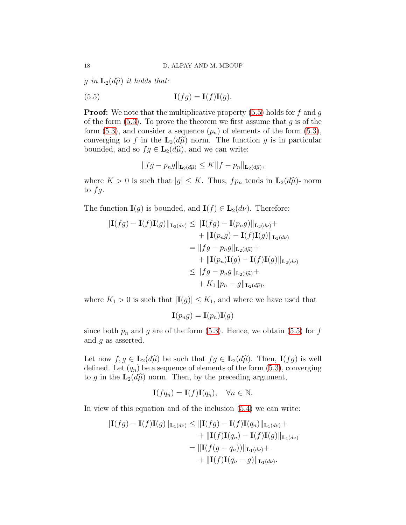g in  $\mathbf{L}_2(d\widehat{\mu})$  it holds that:

(5.5) 
$$
\mathbf{I}(fg) = \mathbf{I}(f)\mathbf{I}(g).
$$

**Proof:** We note that the multiplicative property  $(5.5)$  holds for f and g of the form  $(5.3)$ . To prove the theorem we first assume that g is of the form  $(5.3)$ , and consider a sequence  $(p_n)$  of elements of the form  $(5.3)$ , converging to f in the  $\mathbf{L}_2(d\hat{\mu})$  norm. The function g is in particular bounded, and so  $fg \in \mathbf{L}_2(d\hat{\mu})$ , and we can write:

<span id="page-19-0"></span>
$$
||fg - p_n g||_{\mathbf{L}_2(d\widehat{\mu})} \leq K||f - p_n||_{\mathbf{L}_2(d\widehat{\mu})},
$$

where  $K > 0$  is such that  $|g| \leq K$ . Thus,  $fp_n$  tends in  $\mathbf{L}_2(d\hat{\mu})$ - norm to  $fg$ .

The function  $I(g)$  is bounded, and  $I(f) \in L_2(d\nu)$ . Therefore:

$$
\|\mathbf{I}(fg) - \mathbf{I}(f)\mathbf{I}(g)\|_{\mathbf{L}_2(d\nu)} \le \|\mathbf{I}(fg) - \mathbf{I}(p_ng)\|_{\mathbf{L}_2(d\nu)} +
$$
  
+ 
$$
|\mathbf{I}(p_ng) - \mathbf{I}(f)\mathbf{I}(g)\|_{\mathbf{L}_2(d\nu)}
$$
  
= 
$$
||fg - p_ng||_{\mathbf{L}_2(d\widehat{\mu})} +
$$
  
+ 
$$
||\mathbf{I}(p_n)\mathbf{I}(g) - \mathbf{I}(f)\mathbf{I}(g)||_{\mathbf{L}_2(d\nu)}
$$
  

$$
\le ||fg - p_ng||_{\mathbf{L}_2(d\widehat{\mu})} +
$$
  
+ 
$$
K_1 ||p_n - g||_{\mathbf{L}_2(d\widehat{\mu})},
$$

where  $K_1 > 0$  is such that  $|\mathbf{I}(g)| \leq K_1$ , and where we have used that

$$
\mathbf{I}(p_n g) = \mathbf{I}(p_n) \mathbf{I}(g)
$$

since both  $p_n$  and g are of the form [\(5.3\)](#page-17-2). Hence, we obtain [\(5.5\)](#page-19-0) for f and  $q$  as asserted.

Let now  $f, g \in \mathbf{L}_2(d\hat{\mu})$  be such that  $fg \in \mathbf{L}_2(d\hat{\mu})$ . Then,  $\mathbf{I}(fg)$  is well defined. Let  $(q_n)$  be a sequence of elements of the form  $(5.3)$ , converging to g in the  $\mathbf{L}_2(d\hat{\mu})$  norm. Then, by the preceding argument,

$$
\mathbf{I}(fq_n) = \mathbf{I}(f)\mathbf{I}(q_n), \quad \forall n \in \mathbb{N}.
$$

In view of this equation and of the inclusion [\(5.4\)](#page-18-0) we can write:

$$
\|\mathbf{I}(fg) - \mathbf{I}(f)\mathbf{I}(g)\|_{\mathbf{L}_1(d\nu)} \le \|\mathbf{I}(fg) - \mathbf{I}(f)\mathbf{I}(q_n)\|_{\mathbf{L}_1(d\nu)} +
$$
  
+ 
$$
\|\mathbf{I}(f)\mathbf{I}(q_n) - \mathbf{I}(f)\mathbf{I}(g)\|_{\mathbf{L}_1(d\nu)}
$$
  
= 
$$
\|\mathbf{I}(f(g - q_n))\|_{\mathbf{L}_1(d\nu)} +
$$
  
+ 
$$
\|\mathbf{I}(f)\mathbf{I}(q_n - g)\|_{\mathbf{L}_1(d\nu)}.
$$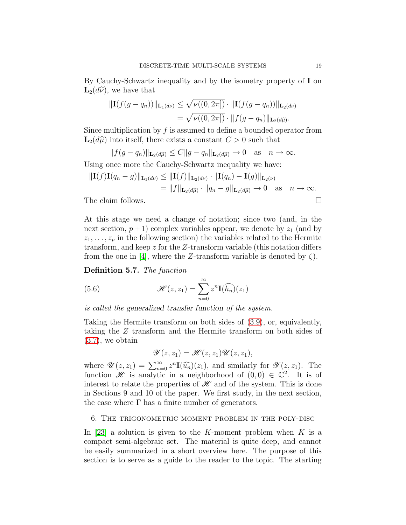By Cauchy-Schwartz inequality and by the isometry property of I on  $\mathbf{L}_2(d\widehat{\nu})$ , we have that

$$
\|\mathbf{I}(f(g-q_n))\|_{\mathbf{L}_1(d\nu)} \leq \sqrt{\nu((0,2\pi])} \cdot \|\mathbf{I}(f(g-q_n))\|_{\mathbf{L}_2(d\nu)}
$$
  
=  $\sqrt{\nu((0,2\pi])} \cdot \|f(g-q_n)\|_{\mathbf{L}_2(d\widehat{\mu})}.$ 

Since multiplication by  $f$  is assumed to define a bounded operator from  $\mathbf{L}_2(d\hat{\mu})$  into itself, there exists a constant  $C > 0$  such that

 $|| f(g - q_n) ||_{\mathbf{L}_2(d\widehat{\mu})} \leq C || g - q_n ||_{\mathbf{L}_2(d\widehat{\mu})} \to 0 \text{ as } n \to \infty.$ 

Using once more the Cauchy-Schwartz inequality we have:

$$
\begin{aligned} \|\mathbf{I}(f)\mathbf{I}(q_n - g)\|_{\mathbf{L}_1(d\nu)} &\leq \|\mathbf{I}(f)\|_{\mathbf{L}_2(d\nu)} \cdot \|\mathbf{I}(q_n) - \mathbf{I}(g)\|_{\mathbf{L}_2(\nu)} \\ &= \|f\|_{\mathbf{L}_2(d\widehat{\mu})} \cdot \|q_n - g\|_{\mathbf{L}_2(d\widehat{\mu})} \to 0 \quad \text{as} \quad n \to \infty. \end{aligned}
$$
\nThe claim follows.  $\square$ 

At this stage we need a change of notation; since two (and, in the next section,  $p+1$ ) complex variables appear, we denote by  $z_1$  (and by  $z_1, \ldots, z_p$  in the following section) the variables related to the Hermite transform, and keep z for the Z-transform variable (this notation differs from the one in [\[4\]](#page-33-5), where the Z-transform variable is denoted by  $\zeta$ ).

<span id="page-20-1"></span>Definition 5.7. The function

(5.6) 
$$
\mathcal{H}(z, z_1) = \sum_{n=0}^{\infty} z^n \mathbf{I}(\widehat{h_n})(z_1)
$$

is called the generalized transfer function of the system.

Taking the Hermite transform on both sides of [\(3.9\)](#page-14-1), or, equivalently, taking the Z transform and the Hermite transform on both sides of [\(3.7\)](#page-14-3), we obtain

$$
\mathscr{Y}(z,z_1)=\mathscr{H}(z,z_1)\mathscr{U}(z,z_1),
$$

where  $\mathscr{U}(z, z_1) = \sum_{n=0}^{\infty} z^n \mathbf{I}(\widehat{u_n})(z_1)$ , and similarly for  $\mathscr{Y}(z, z_1)$ . The function  $\mathscr{H}$  is analytic in a neighborhood of  $(0,0) \in \mathbb{C}^2$ . It is of interest to relate the properties of  $\mathcal{H}$  and of the system. This is done in Sections 9 and 10 of the paper. We first study, in the next section, the case where  $\Gamma$  has a finite number of generators.

#### <span id="page-20-0"></span>6. The trigonometric moment problem in the poly-disc

In [\[23\]](#page-34-2) a solution is given to the K-moment problem when  $K$  is a compact semi-algebraic set. The material is quite deep, and cannot be easily summarized in a short overview here. The purpose of this section is to serve as a guide to the reader to the topic. The starting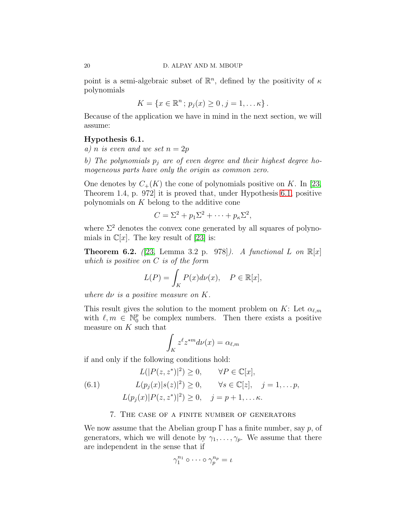point is a semi-algebraic subset of  $\mathbb{R}^n$ , defined by the positivity of  $\kappa$ polynomials

$$
K = \{x \in \mathbb{R}^n \, ; \, p_j(x) \geq 0 \, , j = 1, \dots \kappa \} \, .
$$

Because of the application we have in mind in the next section, we will assume:

#### <span id="page-21-1"></span>Hypothesis 6.1.

a) n is even and we set  $n = 2p$ 

b) The polynomials  $p_j$  are of even degree and their highest degree homogeneous parts have only the origin as common zero.

One denotes by  $C_{+}(K)$  the cone of polynomials positive on K. In [\[23,](#page-34-2) Theorem 1.4, p. 972] it is proved that, under Hypothesis [6.1,](#page-21-1) positive polynomials on K belong to the additive cone

$$
C = \Sigma^2 + p_1 \Sigma^2 + \cdots + p_\kappa \Sigma^2,
$$

where  $\Sigma^2$  denotes the convex cone generated by all squares of polynomials in  $\mathbb{C}[x]$ . The key result of [\[23\]](#page-34-2) is:

**Theorem 6.2.** ([\[23,](#page-34-2) Lemma 3.2 p. 978]). A functional L on  $\mathbb{R}[x]$ which is positive on C is of the form

$$
L(P) = \int_K P(x)d\nu(x), \quad P \in \mathbb{R}[x],
$$

where  $d\nu$  is a positive measure on K.

This result gives the solution to the moment problem on K: Let  $\alpha_{\ell,m}$ with  $\ell, m \in \mathbb{N}_0^p$  be complex numbers. Then there exists a positive measure on  $K$  such that

$$
\int_K z^{\ell} z^{*m} d\nu(x) = \alpha_{\ell,m}
$$

if and only if the following conditions hold:

(6.1) 
$$
L(|P(z, z^*)|^2) \ge 0, \quad \forall P \in \mathbb{C}[x],
$$

$$
L(p_j(x)|s(z)|^2) \ge 0, \quad \forall s \in \mathbb{C}[z], \quad j = 1, \dots, p,
$$

$$
L(p_j(x)|P(z, z^*)|^2) \ge 0, \quad j = p + 1, \dots, \kappa.
$$

#### 7. The case of a finite number of generators

<span id="page-21-0"></span>We now assume that the Abelian group  $\Gamma$  has a finite number, say p, of generators, which we will denote by  $\gamma_1, \ldots, \gamma_p$ . We assume that there are independent in the sense that if

$$
\gamma_1^{n_1} \circ \cdots \circ \gamma_p^{n_p} = \iota
$$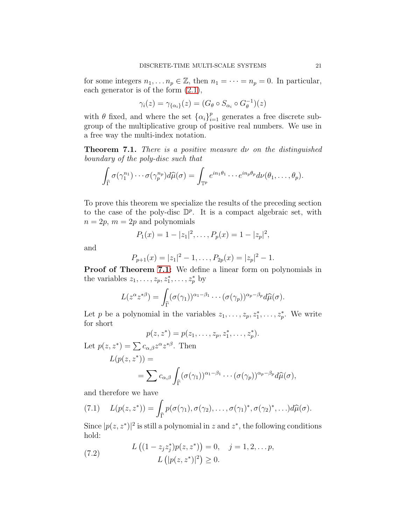for some integers  $n_1, \ldots n_p \in \mathbb{Z}$ , then  $n_1 = \cdots = n_p = 0$ . In particular, each generator is of the form [\(2.1\)](#page-7-1),

$$
\gamma_i(z) = \gamma_{\{\alpha_i\}}(z) = (G_\theta \circ S_{\alpha_i} \circ G_\theta^{-1})(z)
$$

with  $\theta$  fixed, and where the set  $\{\alpha_i\}_{i=1}^p$  generates a free discrete subgroup of the multiplicative group of positive real numbers. We use in a free way the multi-index notation.

<span id="page-22-0"></span>**Theorem 7.1.** There is a positive measure  $d\nu$  on the distinguished boundary of the poly-disc such that

$$
\int_{\widehat{\Gamma}} \sigma(\gamma_1^{n_1}) \cdots \sigma(\gamma_p^{n_p}) d\widehat{\mu}(\sigma) = \int_{\mathbb{T}^p} e^{in_1\theta_1} \cdots e^{in_p\theta_p} d\nu(\theta_1,\ldots,\theta_p).
$$

To prove this theorem we specialize the results of the preceding section to the case of the poly-disc  $\mathbb{D}^p$ . It is a compact algebraic set, with  $n = 2p$ ,  $m = 2p$  and polynomials

$$
P_1(x) = 1 - |z_1|^2, \ldots, P_p(x) = 1 - |z_p|^2,
$$

and

$$
P_{p+1}(x) = |z_1|^2 - 1, \ldots, P_{2p}(x) = |z_p|^2 - 1.
$$

Proof of Theorem [7.1:](#page-22-0) We define a linear form on polynomials in the variables  $z_1, \ldots, z_p, z_1^*, \ldots, z_p^*$  by

$$
L(z^{\alpha}z^{*\beta})=\int_{\widehat{\Gamma}}(\sigma(\gamma_1))^{\alpha_1-\beta_1}\cdots(\sigma(\gamma_p))^{\alpha_p-\beta_p}d\widehat{\mu}(\sigma).
$$

Let p be a polynomial in the variables  $z_1, \ldots, z_p, z_1^*, \ldots, z_p^*$ . We write for short

$$
p(z, z^*) = p(z_1, \ldots, z_p, z_1^*, \ldots, z_p^*).
$$

Let  $p(z, z^*) = \sum c_{\alpha,\beta} z^{\alpha} z^{*\beta}$ . Then

$$
L(p(z, z^*)) =
$$
  
=  $\sum c_{\alpha,\beta} \int_{\widehat{\Gamma}} (\sigma(\gamma_1))^{\alpha_1-\beta_1} \cdots (\sigma(\gamma_p))^{\alpha_p-\beta_p} d\widehat{\mu}(\sigma),$ 

and therefore we have

<span id="page-22-1"></span>(7.1) 
$$
L(p(z, z^*)) = \int_{\widehat{\Gamma}} p(\sigma(\gamma_1), \sigma(\gamma_2), \dots, \sigma(\gamma_1)^*, \sigma(\gamma_2)^*, \dots) d\widehat{\mu}(\sigma).
$$

Since  $|p(z, z^*)|^2$  is still a polynomial in z and  $z^*$ , the following conditions hold:

<span id="page-22-2"></span>(7.2) 
$$
L((1-z_j z_j^*)p(z, z^*)) = 0, \quad j = 1, 2, \dots p, L([p(z, z^*)]^2) \ge 0.
$$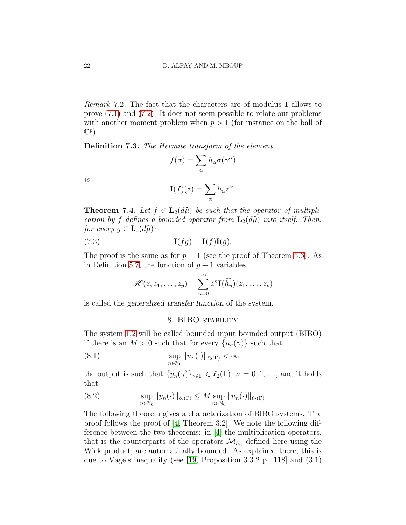Remark 7.2. The fact that the characters are of modulus 1 allows to prove [\(7.1\)](#page-22-1) and [\(7.2\)](#page-22-2). It does not seem possible to relate our problems with another moment problem when  $p > 1$  (for instance on the ball of

Definition 7.3. The Hermite transform of the element

$$
f(\sigma) = \sum_{\alpha} h_{\alpha} \sigma(\gamma^{\alpha})
$$

is

 $\mathbb{C}^p$ ).

$$
\mathbf{I}(f)(z) = \sum_{\alpha} h_{\alpha} z^{\alpha}.
$$

**Theorem 7.4.** Let  $f \in \mathbf{L}_2(d\hat{\mu})$  be such that the operator of multiplication by f defines a bounded operator from  $\mathbf{L}_2(d\hat{\mu})$  into itself. Then, for every  $g \in \mathbf{L}_2(d\widehat{\mu})$ :

(7.3) 
$$
\mathbf{I}(fg) = \mathbf{I}(f)\mathbf{I}(g).
$$

The proof is the same as for  $p = 1$  (see the proof of Theorem [5.6\)](#page-18-1). As in Definition [5.7,](#page-20-1) the function of  $p + 1$  variables

$$
\mathscr{H}(z,z_1,\ldots,z_p)=\sum_{n=0}^\infty z^n \mathbf{I}(\widehat{h_n})(z_1,\ldots,z_p)
$$

<span id="page-23-0"></span>is called the generalized transfer function of the system.

#### 8. BIBO stability

The system [1.2](#page-3-2) will be called bounded input bounded output (BIBO) if there is an  $M > 0$  such that for every  $\{u_n(\gamma)\}\$  such that

(8.1) 
$$
\sup_{n \in \mathbb{N}_0} ||u_n(\cdot)||_{\ell_2(\Gamma)} < \infty
$$

the output is such that  $\{y_n(\gamma)\}_{\gamma \in \Gamma} \in \ell_2(\Gamma), n = 0, 1, \ldots$ , and it holds that

<span id="page-23-1"></span>(8.2) 
$$
\sup_{n \in \mathbb{N}_0} \|y_n(\cdot)\|_{\ell_2(\Gamma)} \leq M \sup_{n \in \mathbb{N}_0} \|u_n(\cdot)\|_{\ell_2(\Gamma)}.
$$

The following theorem gives a characterization of BIBO systems. The proof follows the proof of [\[4,](#page-33-5) Theorem 3.2]. We note the following difference between the two theorems: in [\[4\]](#page-33-5) the multiplication operators, that is the counterparts of the operators  $\mathcal{M}_{h_n}$  defined here using the Wick product, are automatically bounded. As explained there, this is due to Våge's inequality (see [\[19,](#page-34-5) Proposition 3.3.2 p. 118] and  $(3.1)$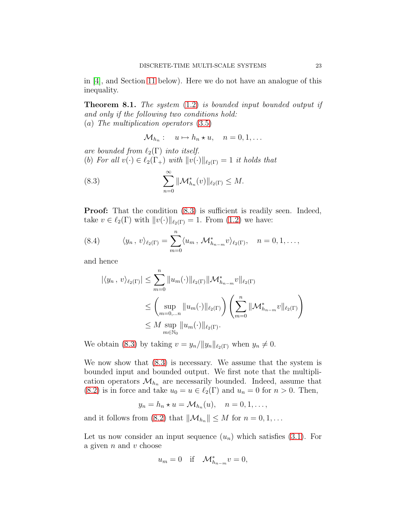in [\[4\]](#page-33-5), and Section [11](#page-29-0) below). Here we do not have an analogue of this inequality.

**Theorem 8.1.** The system  $(1.2)$  is bounded input bounded output if and only if the following two conditions hold: (a) The multiplication operators [\(3.5\)](#page-14-4)

<span id="page-24-0"></span>
$$
\mathcal{M}_{h_n}: \quad u \mapsto h_n \star u, \quad n = 0, 1, \dots
$$

are bounded from  $\ell_2(\Gamma)$  into itself. (b) For all  $v(\cdot) \in \ell_2(\Gamma_+)$  with  $||v(\cdot)||_{\ell_2(\Gamma)} = 1$  it holds that

(8.3) 
$$
\sum_{n=0}^{\infty} \|\mathcal{M}_{h_n}^*(v)\|_{\ell_2(\Gamma)} \leq M.
$$

**Proof:** That the condition  $(8.3)$  is sufficient is readily seen. Indeed, take  $v \in \ell_2(\Gamma)$  with  $||v(\cdot)||_{\ell_2(\Gamma)} = 1$ . From [\(1.2\)](#page-3-2) we have:

<span id="page-24-1"></span>(8.4) 
$$
\langle y_n, v \rangle_{\ell_2(\Gamma)} = \sum_{m=0}^n \langle u_m, \mathcal{M}^*_{h_{n-m}} v \rangle_{\ell_2(\Gamma)}, \quad n = 0, 1, \dots,
$$

and hence

$$
|\langle y_n, v \rangle_{\ell_2(\Gamma)}| \leq \sum_{m=0}^n \|u_m(\cdot)\|_{\ell_2(\Gamma)} \|\mathcal{M}^*_{h_{n-m}} v\|_{\ell_2(\Gamma)}
$$
  

$$
\leq \left(\sup_{m=0,...n} \|u_m(\cdot)\|_{\ell_2(\Gamma)}\right) \left(\sum_{m=0}^n \|\mathcal{M}^*_{h_{n-m}} v\|_{\ell_2(\Gamma)}\right)
$$
  

$$
\leq M \sup_{m \in \mathbb{N}_0} \|u_m(\cdot)\|_{\ell_2(\Gamma)}.
$$

We obtain [\(8.3\)](#page-24-0) by taking  $v = y_n/||y_n||_{\ell_2(\Gamma)}$  when  $y_n \neq 0$ .

We now show that [\(8.3\)](#page-24-0) is necessary. We assume that the system is bounded input and bounded output. We first note that the multiplication operators  $\mathcal{M}_{h_n}$  are necessarily bounded. Indeed, assume that [\(8.2\)](#page-23-1) is in force and take  $u_0 = u \in \ell_2(\Gamma)$  and  $u_n = 0$  for  $n > 0$ . Then,

$$
y_n = h_n \star u = \mathcal{M}_{h_n}(u), \quad n = 0, 1, \ldots,
$$

and it follows from [\(8.2\)](#page-23-1) that  $\|\mathcal{M}_{h_n}\| \leq M$  for  $n = 0, 1, \dots$ 

Let us now consider an input sequence  $(u_n)$  which satisfies [\(3.1\)](#page-12-1). For a given  $n$  and  $v$  choose

$$
u_m = 0 \quad \text{if} \quad \mathcal{M}_{h_{n-m}}^* v = 0,
$$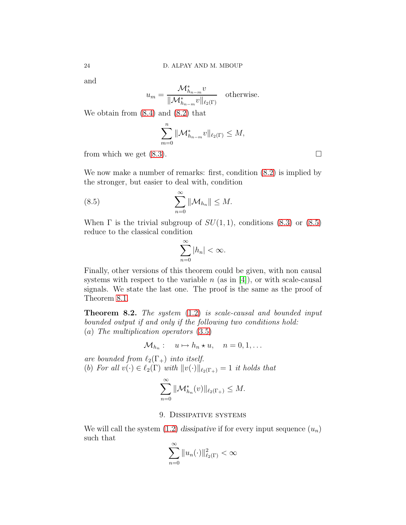and

$$
u_m = \frac{\mathcal{M}_{h_{n-m}}^* v}{\|\mathcal{M}_{h_{n-m}}^* v\|_{\ell_2(\Gamma)}} \quad \text{otherwise.}
$$

We obtain from [\(8.4\)](#page-24-1) and [\(8.2\)](#page-23-1) that

$$
\sum_{m=0}^n \|\mathcal{M}_{h_{n-m}}^* v\|_{\ell_2(\Gamma)} \leq M,
$$

from which we get  $(8.3)$ .

We now make a number of remarks: first, condition  $(8.2)$  is implied by the stronger, but easier to deal with, condition

(8.5) 
$$
\sum_{n=0}^{\infty} \|\mathcal{M}_{h_n}\| \leq M.
$$

When  $\Gamma$  is the trivial subgroup of  $SU(1,1)$ , conditions [\(8.3\)](#page-24-0) or [\(8.5\)](#page-25-1) reduce to the classical condition

<span id="page-25-1"></span>
$$
\sum_{n=0}^{\infty} |h_n| < \infty.
$$

Finally, other versions of this theorem could be given, with non causal systems with respect to the variable  $n$  (as in [\[4\]](#page-33-5)), or with scale-causal signals. We state the last one. The proof is the same as the proof of Theorem [8.1.](#page-24-0)

Theorem 8.2. The system [\(1.2\)](#page-3-2) is scale-causal and bounded input bounded output if and only if the following two conditions hold: (a) The multiplication operators [\(3.5\)](#page-14-4)

$$
\mathcal{M}_{h_n}: \quad u \mapsto h_n \star u, \quad n = 0, 1, \dots
$$

are bounded from  $\ell_2(\Gamma_+)$  into itself.

(b) For all 
$$
v(\cdot) \in \ell_2(\Gamma)
$$
 with  $||v(\cdot)||_{\ell_2(\Gamma_+)} = 1$  it holds that

$$
\sum_{n=0}^{\infty} \|\mathcal{M}_{h_n}^*(v)\|_{\ell_2(\Gamma_+)} \leq M.
$$

# 9. Dissipative systems

<span id="page-25-0"></span>We will call the system  $(1.2)$  dissipative if for every input sequence  $(u_n)$ such that

$$
\sum_{n=0}^{\infty} ||u_n(\cdot)||_{\ell_2(\Gamma)}^2 < \infty
$$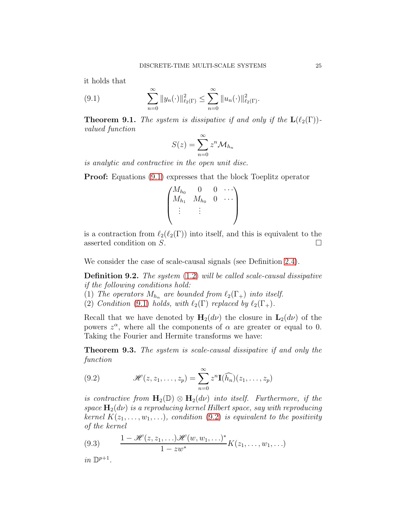it holds that

(9.1) 
$$
\sum_{n=0}^{\infty} ||y_n(\cdot)||_{\ell_2(\Gamma)}^2 \leq \sum_{n=0}^{\infty} ||u_n(\cdot)||_{\ell_2(\Gamma)}^2.
$$

**Theorem 9.1.** The system is dissipative if and only if the  $\mathbf{L}(\ell_2(\Gamma))$ valued function

<span id="page-26-1"></span>
$$
S(z) = \sum_{n=0}^{\infty} z^n \mathcal{M}_{h_n}
$$

is analytic and contractive in the open unit disc.

**Proof:** Equations  $(9.1)$  expresses that the block Toeplitz operator

$$
\begin{pmatrix}\nM_{h_0} & 0 & 0 & \cdots \\
M_{h_1} & M_{h_0} & 0 & \cdots \\
\vdots & \vdots & & \n\end{pmatrix}
$$

is a contraction from  $\ell_2(\ell_2(\Gamma))$  into itself, and this is equivalent to the asserted condition on  $S$ .

We consider the case of scale-causal signals (see Definition [2.4\)](#page-11-0).

Definition 9.2. The system [\(1.2\)](#page-3-2) will be called scale-causal dissipative if the following conditions hold:

- (1) The operators  $M_{h_n}$  are bounded from  $\ell_2(\Gamma_+)$  into itself.
- (2) Condition [\(9.1\)](#page-26-1) holds, with  $\ell_2(\Gamma)$  replaced by  $\ell_2(\Gamma_+)$ .

Recall that we have denoted by  $H_2(d\nu)$  the closure in  $L_2(d\nu)$  of the powers  $z^{\alpha}$ , where all the components of  $\alpha$  are greater or equal to 0. Taking the Fourier and Hermite transforms we have:

<span id="page-26-0"></span>Theorem 9.3. The system is scale-causal dissipative if and only the function

<span id="page-26-2"></span>(9.2) 
$$
\mathscr{H}(z, z_1, \ldots, z_p) = \sum_{n=0}^{\infty} z^n \mathbf{I}(\widehat{h_n})(z_1, \ldots, z_p)
$$

is contractive from  $H_2(\mathbb{D}) \otimes H_2(d\nu)$  into itself. Furthermore, if the space  $\mathbf{H}_{2}(d\nu)$  is a reproducing kernel Hilbert space, say with reproducing kernel  $K(z_1, \ldots, w_1, \ldots)$ , condition [\(9.2\)](#page-26-2) is equivalent to the positivity of the kernel

<span id="page-26-3"></span>(9.3) 
$$
\frac{1-\mathscr{H}(z,z_1,\ldots)\mathscr{H}(w,w_1,\ldots)^*}{1-zw^*}K(z_1,\ldots,w_1,\ldots)
$$

 $in\ \mathbb{D}^{p+1}.$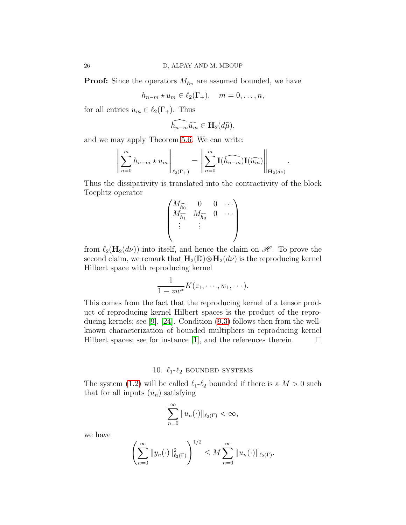**Proof:** Since the operators  $M_{h_n}$  are assumed bounded, we have

 $h_{n-m} \star u_m \in \ell_2(\Gamma_+), \quad m = 0, \ldots, n,$ 

for all entries  $u_m \in \ell_2(\Gamma_+)$ . Thus

$$
\widehat{h_{n-m}}\widehat{u_m} \in \mathbf{H}_2(d\widehat{\mu}),
$$

and we may apply Theorem [5.6.](#page-18-1) We can write:

$$
\left\| \sum_{n=0}^m h_{n-m} \star u_m \right\|_{\ell_2(\Gamma_+)} = \left\| \sum_{n=0}^m \mathbf{I}(\widehat{h_{n-m}}) \mathbf{I}(\widehat{u_m}) \right\|_{\mathbf{H}_2(d\nu)}.
$$

Thus the dissipativity is translated into the contractivity of the block Toeplitz operator

$$
\begin{pmatrix}\nM_{\widehat{h_0}} & 0 & 0 & \cdots \\
M_{\widehat{h_1}} & M_{\widehat{h_0}} & 0 & \cdots \\
\vdots & \vdots & & \n\end{pmatrix}
$$

from  $\ell_2(\mathbf{H}_2(d\nu))$  into itself, and hence the claim on  $\mathscr{H}$ . To prove the second claim, we remark that  $\mathbf{H}_2(\mathbb{D})\otimes \mathbf{H}_2(d\nu)$  is the reproducing kernel Hilbert space with reproducing kernel

$$
\frac{1}{1-zw^*}K(z_1,\cdots,w_1,\cdots).
$$

This comes from the fact that the reproducing kernel of a tensor product of reproducing kernel Hilbert spaces is the product of the reproducing kernels; see [\[9\]](#page-33-15), [\[24\]](#page-34-6). Condition [\(9.3\)](#page-26-3) follows then from the wellknown characterization of bounded multipliers in reproducing kernel Hilbert spaces; see for instance [\[1\]](#page-33-1), and the references therein.  $\Box$ 

# 10.  $\ell_1-\ell_2$  bounded systems

<span id="page-27-0"></span>The system [\(1.2\)](#page-3-2) will be called  $\ell_1-\ell_2$  bounded if there is a  $M > 0$  such that for all inputs  $(u_n)$  satisfying

$$
\sum_{n=0}^{\infty} ||u_n(\cdot)||_{\ell_2(\Gamma)} < \infty,
$$

we have

$$
\left(\sum_{n=0}^{\infty} ||y_n(\cdot)||_{\ell_2(\Gamma)}^2\right)^{1/2} \leq M \sum_{n=0}^{\infty} ||u_n(\cdot)||_{\ell_2(\Gamma)}.
$$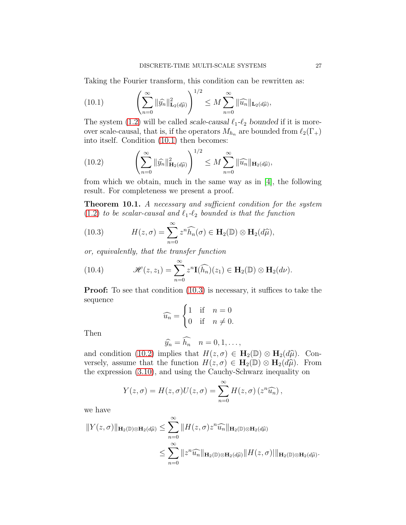Taking the Fourier transform, this condition can be rewritten as:

<span id="page-28-0"></span>(10.1) 
$$
\left(\sum_{n=0}^{\infty} \|\widehat{y_n}\|_{\mathbf{L}_2(d\widehat{\mu})}^2\right)^{1/2} \leq M \sum_{n=0}^{\infty} \|\widehat{u_n}\|_{\mathbf{L}_2(d\widehat{\mu})},
$$

The system [\(1.2\)](#page-3-2) will be called scale-causal  $\ell_1-\ell_2$  bounded if it is moreover scale-causal, that is, if the operators  $M_{h_n}$  are bounded from  $\ell_2(\Gamma_+)$ into itself. Condition [\(10.1\)](#page-28-0) then becomes:

<span id="page-28-2"></span>(10.2) 
$$
\left(\sum_{n=0}^{\infty} \|\widehat{y_n}\|_{\mathbf{H}_2(d\widehat{\mu})}^2\right)^{1/2} \leq M \sum_{n=0}^{\infty} \|\widehat{u_n}\|_{\mathbf{H}_2(d\widehat{\mu})},
$$

from which we obtain, much in the same way as in [\[4\]](#page-33-5), the following result. For completeness we present a proof.

Theorem 10.1. A necessary and sufficient condition for the system [\(1.2\)](#page-3-2) to be scalar-causal and  $\ell_1-\ell_2$  bounded is that the function

<span id="page-28-1"></span>(10.3) 
$$
H(z,\sigma) = \sum_{n=0}^{\infty} z^n \widehat{h_n}(\sigma) \in \mathbf{H}_2(\mathbb{D}) \otimes \mathbf{H}_2(d\widehat{\mu}),
$$

or, equivalently, that the transfer function

(10.4) 
$$
\mathscr{H}(z,z_1)=\sum_{n=0}^{\infty}z^n\mathbf{I}(\widehat{h_n})(z_1)\in\mathbf{H}_2(\mathbb{D})\otimes\mathbf{H}_2(d\nu).
$$

**Proof:** To see that condition  $(10.3)$  is necessary, it suffices to take the sequence

<span id="page-28-3"></span>
$$
\widehat{u_n} = \begin{cases} 1 & \text{if } n = 0 \\ 0 & \text{if } n \neq 0. \end{cases}
$$

Then

$$
\widehat{y_n} = \widehat{h_n} \quad n = 0, 1, \dots,
$$

and condition [\(10.2\)](#page-28-2) implies that  $H(z, \sigma) \in \mathbf{H}_2(\mathbb{D}) \otimes \mathbf{H}_2(d\hat{\mu})$ . Conversely, assume that the function  $H(z, \sigma) \in \mathbf{H}_2(\mathbb{D}) \otimes \mathbf{H}_2(d\widehat{\mu})$ . From the expression [\(3.10\)](#page-14-5), and using the Cauchy-Schwarz inequality on

$$
Y(z,\sigma) = H(z,\sigma)U(z,\sigma) = \sum_{n=0}^{\infty} H(z,\sigma) (z^n \widehat{u_n}),
$$

we have

$$
||Y(z,\sigma)||_{\mathbf{H}_2(\mathbb{D})\otimes\mathbf{H}_2(d\widehat{\mu})} \leq \sum_{n=0}^{\infty} ||H(z,\sigma)z^n \widehat{u_n}||_{\mathbf{H}_2(\mathbb{D})\otimes\mathbf{H}_2(d\widehat{\mu})}
$$
  

$$
\leq \sum_{n=0}^{\infty} ||z^n \widehat{u_n}||_{\mathbf{H}_2(\mathbb{D})\otimes\mathbf{H}_2(d\widehat{\mu})} ||H(z,\sigma)||_{\mathbf{H}_2(\mathbb{D})\otimes\mathbf{H}_2(d\widehat{\mu})}
$$

.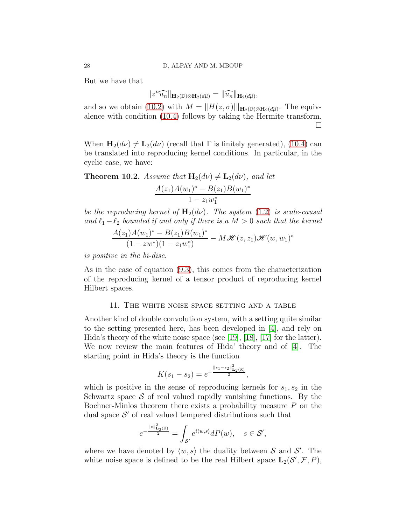But we have that

$$
||z^n \widehat{u_n}||_{\mathbf{H}_2(\mathbb{D}) \otimes \mathbf{H}_2(d\widehat{\mu})} = ||\widehat{u_n}||_{\mathbf{H}_2(d\widehat{\mu})},
$$

and so we obtain [\(10.2\)](#page-28-2) with  $M = ||H(z, \sigma)||_{\mathbf{H}_2(\mathbb{D})\otimes \mathbf{H}_2(d\hat{\mu})}$ . The equivalence with condition [\(10.4\)](#page-28-3) follows by taking the Hermite transform.  $\Box$ 

When  $\mathbf{H}_{2}(d\nu) \neq \mathbf{L}_{2}(d\nu)$  (recall that  $\Gamma$  is finitely generated), [\(10.4\)](#page-28-3) can be translated into reproducing kernel conditions. In particular, in the cyclic case, we have:

**Theorem 10.2.** Assume that  $H_2(d\nu) \neq L_2(d\nu)$ , and let  $A(z_1)A(w_1)^* - B(z_1)B(w_1)^*$  $1-z_1w_1^*$ 

be the reproducing kernel of  $H_2(d\nu)$ . The system [\(1.2\)](#page-3-2) is scale-causal and  $\ell_1 - \ell_2$  bounded if and only if there is a  $M > 0$  such that the kernel

$$
\frac{A(z_1)A(w_1)^* - B(z_1)B(w_1)^*}{(1 - zw^*)(1 - z_1w_1^*)} - M\mathcal{H}(z, z_1)\mathcal{H}(w, w_1)^*
$$

is positive in the bi-disc.

As in the case of equation [\(9.3\)](#page-26-3), this comes from the characterization of the reproducing kernel of a tensor product of reproducing kernel Hilbert spaces.

# 11. The white noise space setting and a table

<span id="page-29-0"></span>Another kind of double convolution system, with a setting quite similar to the setting presented here, has been developed in [\[4\]](#page-33-5), and rely on Hida's theory of the white noise space (see [\[19\]](#page-34-5), [\[18\]](#page-34-7), [\[17\]](#page-34-8) for the latter). We now review the main features of Hida' theory and of [\[4\]](#page-33-5). The starting point in Hida's theory is the function

$$
K(s_1 - s_2) = e^{-\frac{\|s_1 - s_2\|_{\mathbf{L}_2(\mathbb{R})}^2}{2}},
$$

which is positive in the sense of reproducing kernels for  $s_1, s_2$  in the Schwartz space  $S$  of real valued rapidly vanishing functions. By the Bochner-Minlos theorem there exists a probability measure P on the dual space  $\mathcal{S}'$  of real valued tempered distributions such that

$$
e^{-\frac{\|s\|_{\mathbf{L}_2(\mathbb{R})}^2}{2}}=\int_{\mathcal{S}'}e^{i\langle w,s\rangle}dP(w),\quad s\in\mathcal{S}',
$$

where we have denoted by  $\langle w, s \rangle$  the duality between S and S'. The white noise space is defined to be the real Hilbert space  $\mathbf{L}_{2}(\mathcal{S}', \mathcal{F}, P)$ ,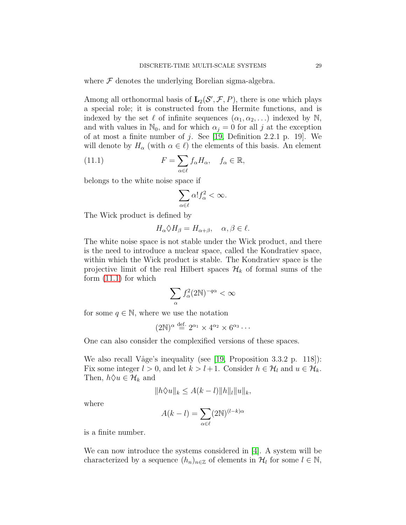where  $\mathcal F$  denotes the underlying Borelian sigma-algebra.

Among all orthonormal basis of  $\mathbf{L}_2(\mathcal{S}', \mathcal{F}, P)$ , there is one which plays a special role; it is constructed from the Hermite functions, and is indexed by the set  $\ell$  of infinite sequences  $(\alpha_1, \alpha_2, \ldots)$  indexed by N, and with values in  $\mathbb{N}_0$ , and for which  $\alpha_j = 0$  for all j at the exception of at most a finite number of  $j$ . See [\[19,](#page-34-5) Definition 2.2.1 p. 19]. We will denote by  $H_{\alpha}$  (with  $\alpha \in \ell$ ) the elements of this basis. An element

(11.1) 
$$
F = \sum_{\alpha \in \ell} f_{\alpha} H_{\alpha}, \quad f_{\alpha} \in \mathbb{R},
$$

belongs to the white noise space if

<span id="page-30-0"></span>
$$
\sum_{\alpha \in \ell} \alpha! f_{\alpha}^2 < \infty.
$$

The Wick product is defined by

$$
H_{\alpha} \Diamond H_{\beta} = H_{\alpha + \beta}, \quad \alpha, \beta \in \ell.
$$

The white noise space is not stable under the Wick product, and there is the need to introduce a nuclear space, called the Kondratiev space, within which the Wick product is stable. The Kondratiev space is the projective limit of the real Hilbert spaces  $\mathcal{H}_k$  of formal sums of the form [\(11.1\)](#page-30-0) for which

$$
\sum_\alpha f_\alpha^2 (2\mathbb{N})^{-q\alpha}<\infty
$$

for some  $q \in \mathbb{N}$ , where we use the notation

$$
(2\mathbb{N})^{\alpha} \stackrel{\text{def.}}{=} 2^{\alpha_1} \times 4^{\alpha_2} \times 6^{\alpha_3} \cdots
$$

One can also consider the complexified versions of these spaces.

We also recall Våge's inequality (see [\[19,](#page-34-5) Proposition 3.3.2 p. 118]): Fix some integer  $l > 0$ , and let  $k > l + 1$ . Consider  $h \in \mathcal{H}_l$  and  $u \in \mathcal{H}_k$ . Then,  $h \Diamond u \in \mathcal{H}_k$  and

$$
||h\Diamond u||_k \leq A(k-l)||h||_l||u||_k,
$$

where

$$
A(k-l) = \sum_{\alpha \in \ell} (2N)^{(l-k)\alpha}
$$

is a finite number.

We can now introduce the systems considered in [\[4\]](#page-33-5). A system will be characterized by a sequence  $(h_n)_{n\in\mathbb{Z}}$  of elements in  $\mathcal{H}_l$  for some  $l \in \mathbb{N}$ ,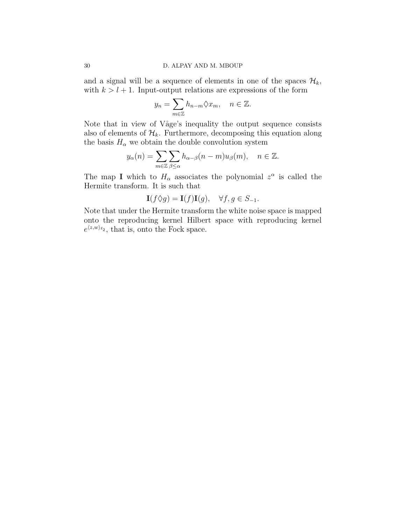and a signal will be a sequence of elements in one of the spaces  $\mathcal{H}_k$ , with  $k > l + 1$ . Input-output relations are expressions of the form

$$
y_n = \sum_{m \in \mathbb{Z}} h_{n-m} \Diamond x_m, \quad n \in \mathbb{Z}.
$$

Note that in view of V˚age's inequality the output sequence consists also of elements of  $\mathcal{H}_k$ . Furthermore, decomposing this equation along the basis  $H_{\alpha}$  we obtain the double convolution system

$$
y_{\alpha}(n) = \sum_{m \in \mathbb{Z}} \sum_{\beta \le \alpha} h_{\alpha-\beta}(n-m)u_{\beta}(m), \quad n \in \mathbb{Z}.
$$

The map I which to  $H_{\alpha}$  associates the polynomial  $z^{\alpha}$  is called the Hermite transform. It is such that

$$
\mathbf{I}(f\Diamond g) = \mathbf{I}(f)\mathbf{I}(g), \quad \forall f, g \in S_{-1}.
$$

Note that under the Hermite transform the white noise space is mapped onto the reproducing kernel Hilbert space with reproducing kernel  $e^{\langle z,w\rangle_{\ell_2}}$ , that is, onto the Fock space.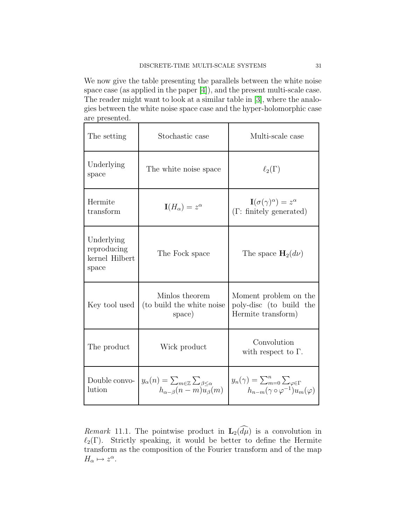We now give the table presenting the parallels between the white noise space case (as applied in the paper [\[4\]](#page-33-5)), and the present multi-scale case. The reader might want to look at a similar table in [\[3\]](#page-33-16), where the analogies between the white noise space case and the hyper-holomorphic case are presented.

| The setting                                          | Stochastic case                                                                                                      | Multi-scale case                                                                                           |  |
|------------------------------------------------------|----------------------------------------------------------------------------------------------------------------------|------------------------------------------------------------------------------------------------------------|--|
| Underlying<br>space                                  | The white noise space                                                                                                | $\ell_2(\Gamma)$                                                                                           |  |
| Hermite<br>transform                                 | $\mathbf{I}(H_{\alpha})=z^{\alpha}$                                                                                  | $\mathbf{I}(\sigma(\gamma)^{\alpha})=z^{\alpha}$<br>$(\Gamma:$ finitely generated)                         |  |
| Underlying<br>reproducing<br>kernel Hilbert<br>space | The Fock space                                                                                                       | The space $\mathbf{H}_{2}(d\nu)$                                                                           |  |
| Key tool used                                        | Minlos theorem<br>(to build the white noise<br>space)                                                                | Moment problem on the<br>poly-disc (to build the<br>Hermite transform)                                     |  |
| The product                                          | Wick product                                                                                                         | Convolution<br>with respect to $\Gamma$ .                                                                  |  |
| Double convo-<br>lution                              | $y_{\alpha}(n) = \sum_{m \in \mathbb{Z}} \sum_{\beta \leq \alpha}$<br>$h_{\alpha-\beta}(n-m)\overline{u}_{\beta}(m)$ | $y_n(\gamma) = \sum_{m=0}^n \sum_{\varphi \in \Gamma}$<br>$h_{n-m}(\gamma \circ \varphi^{-1})u_m(\varphi)$ |  |

Remark 11.1. The pointwise product in  $\mathbf{L}_2(\widehat{d\mu})$  is a convolution in  $\ell_2(\Gamma)$ . Strictly speaking, it would be better to define the Hermite transform as the composition of the Fourier transform and of the map  $H_{\alpha} \mapsto z^{\alpha}$ .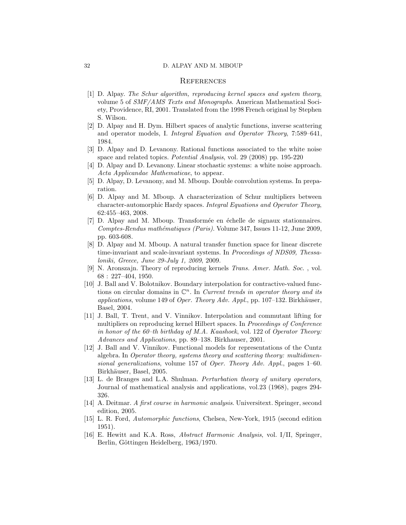#### 32 D. ALPAY AND M. MBOUP

#### **REFERENCES**

- <span id="page-33-1"></span><span id="page-33-0"></span>[1] D. Alpay. The Schur algorithm, reproducing kernel spaces and system theory, volume 5 of SMF/AMS Texts and Monographs. American Mathematical Society, Providence, RI, 2001. Translated from the 1998 French original by Stephen S. Wilson.
- <span id="page-33-14"></span>[2] D. Alpay and H. Dym. Hilbert spaces of analytic functions, inverse scattering and operator models, I. Integral Equation and Operator Theory, 7:589–641, 1984.
- <span id="page-33-16"></span>[3] D. Alpay and D. Levanony. Rational functions associated to the white noise space and related topics. Potential Analysis, vol. 29 (2008) pp. 195-220
- <span id="page-33-6"></span><span id="page-33-5"></span>[4] D. Alpay and D. Levanony. Linear stochastic systems: a white noise approach. Acta Applicandae Mathematicae, to appear.
- <span id="page-33-10"></span>[5] D. Alpay, D. Levanony, and M. Mboup. Double convolution systems. In preparation.
- [6] D. Alpay and M. Mboup. A characterization of Schur multipliers between character-automorphic Hardy spaces. Integral Equations and Operator Theory, 62:455–463, 2008.
- <span id="page-33-7"></span>[7] D. Alpay and M. Mboup. Transformée en échelle de signaux stationnaires. Comptes-Rendus mathématiques (Paris). Volume 347, Issues 11-12, June 2009, pp. 603-608.
- <span id="page-33-8"></span>[8] D. Alpay and M. Mboup. A natural transfer function space for linear discrete time-invariant and scale-invariant systems. In *Proceedings of NDS09*, *Thessa*loniki, Greece, June 29-July 1, 2009, 2009.
- <span id="page-33-15"></span>[9] N. Aronszajn. Theory of reproducing kernels Trans. Amer. Math. Soc. , vol. 68 : 227–404, 1950.
- <span id="page-33-2"></span>[10] J. Ball and V. Bolotnikov. Boundary interpolation for contractive-valued functions on circular domains in  $\mathbb{C}^n$ . In *Current trends in operator theory and its* applications, volume 149 of Oper. Theory Adv. Appl., pp. 107–132. Birkhäuser, Basel, 2004.
- <span id="page-33-3"></span>[11] J. Ball, T. Trent, and V. Vinnikov. Interpolation and commutant lifting for multipliers on reproducing kernel Hilbert spaces. In Proceedings of Conference in honor of the 60–th birthday of M.A. Kaashoek, vol. 122 of Operator Theory: Advances and Applications, pp. 89–138. Birkhauser, 2001.
- <span id="page-33-4"></span>[12] J. Ball and V. Vinnikov. Functional models for representations of the Cuntz algebra. In Operator theory, systems theory and scattering theory: multidimensional generalizations, volume 157 of Oper. Theory Adv. Appl., pages 1–60. Birkhäuser, Basel, 2005.
- <span id="page-33-13"></span>[13] L. de Branges and L.A. Shulman. Perturbation theory of unitary operators, Journal of mathematical analysis and applications, vol.23 (1968), pages 294- 326.
- <span id="page-33-12"></span>[14] A. Deitmar. A first course in harmonic analysis. Universitext. Springer, second edition, 2005.
- <span id="page-33-9"></span>[15] L. R. Ford, Automorphic functions, Chelsea, New-York, 1915 (second edition 1951).
- <span id="page-33-11"></span>[16] E. Hewitt and K.A. Ross, Abstract Harmonic Analysis, vol. I/II, Springer, Berlin, Göttingen Heidelberg, 1963/1970.